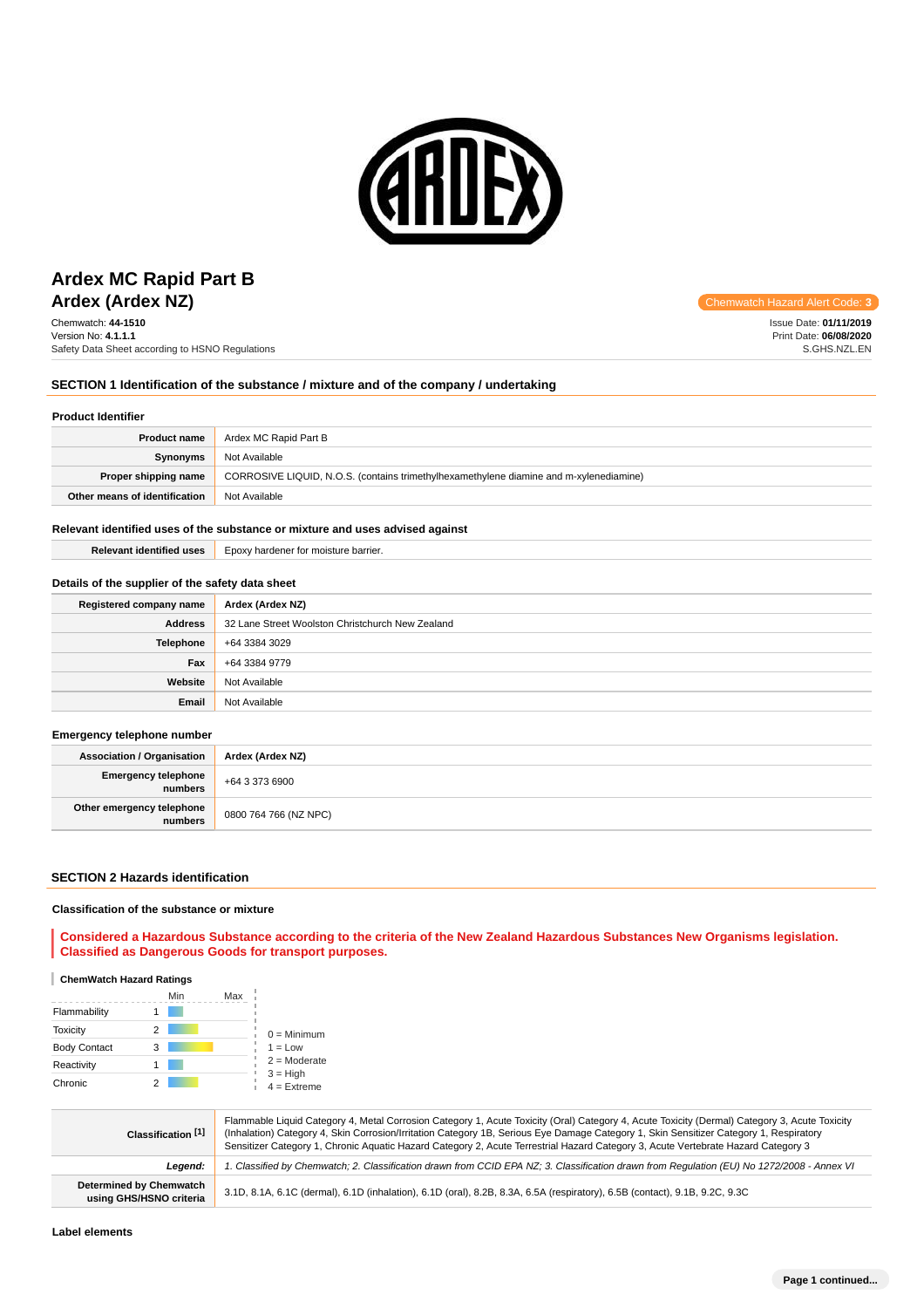

## **Ardex (Ardex NZ)** Chemwatch Hazard Alert Code: 3 **Ardex MC Rapid Part B**

Chemwatch: **44-1510** Version No: **4.1.1.1** Safety Data Sheet according to HSNO Regulations

Issue Date: **01/11/2019** Print Date: **06/08/2020** S.GHS.NZL.EN

#### **SECTION 1 Identification of the substance / mixture and of the company / undertaking**

#### **Product Identifier**

| <b>Product name</b>           | Ardex MC Rapid Part B                                                                  |
|-------------------------------|----------------------------------------------------------------------------------------|
| Synonyms                      | Not Available                                                                          |
| Proper shipping name          | CORROSIVE LIQUID, N.O.S. (contains trimethylhexamethylene diamine and m-xylenediamine) |
| Other means of identification | Not Available                                                                          |

### **Relevant identified uses of the substance or mixture and uses advised against**

**Relevant identified uses** Epoxy hardener for moisture barrier.

#### **Details of the supplier of the safety data sheet**

| Registered company name | Ardex (Ardex NZ)                                 |
|-------------------------|--------------------------------------------------|
| <b>Address</b>          | 32 Lane Street Woolston Christchurch New Zealand |
| <b>Telephone</b>        | +64 3384 3029                                    |
| Fax                     | +64 3384 9779                                    |
| Website                 | Not Available                                    |
| Email                   | Not Available                                    |

#### **Emergency telephone number**

| <b>Association / Organisation</b>    | Ardex (Ardex NZ)      |
|--------------------------------------|-----------------------|
| Emergency telephone<br>numbers       | +64 3 373 6900        |
| Other emergency telephone<br>numbers | 0800 764 766 (NZ NPC) |

### **SECTION 2 Hazards identification**

#### **Classification of the substance or mixture**

**Considered a Hazardous Substance according to the criteria of the New Zealand Hazardous Substances New Organisms legislation. Classified as Dangerous Goods for transport purposes.**

#### **ChemWatch Hazard Ratings**

|                     | Min | Max |                             |
|---------------------|-----|-----|-----------------------------|
| Flammability        |     |     |                             |
| <b>Toxicity</b>     | 2   |     | $0 =$ Minimum               |
| <b>Body Contact</b> | 3   |     | $1 = Low$                   |
| Reactivity          |     |     | $2 =$ Moderate              |
| Chronic             |     |     | $3 = High$<br>$4 =$ Extreme |

| Classification [1]                                        | Flammable Liquid Category 4, Metal Corrosion Category 1, Acute Toxicity (Oral) Category 4, Acute Toxicity (Dermal) Category 3, Acute Toxicity<br>(Inhalation) Category 4, Skin Corrosion/Irritation Category 1B, Serious Eye Damage Category 1, Skin Sensitizer Category 1, Respiratory<br>Sensitizer Category 1, Chronic Aquatic Hazard Category 2, Acute Terrestrial Hazard Category 3, Acute Vertebrate Hazard Category 3 |
|-----------------------------------------------------------|------------------------------------------------------------------------------------------------------------------------------------------------------------------------------------------------------------------------------------------------------------------------------------------------------------------------------------------------------------------------------------------------------------------------------|
| Leaend:                                                   | 1. Classified by Chemwatch; 2. Classification drawn from CCID EPA NZ; 3. Classification drawn from Requlation (EU) No 1272/2008 - Annex VI                                                                                                                                                                                                                                                                                   |
| <b>Determined by Chemwatch</b><br>using GHS/HSNO criteria | 3.1D, 8.1A, 6.1C (dermal), 6.1D (inhalation), 6.1D (oral), 8.2B, 8.3A, 6.5A (respiratory), 6.5B (contact), 9.1B, 9.2C, 9.3C                                                                                                                                                                                                                                                                                                  |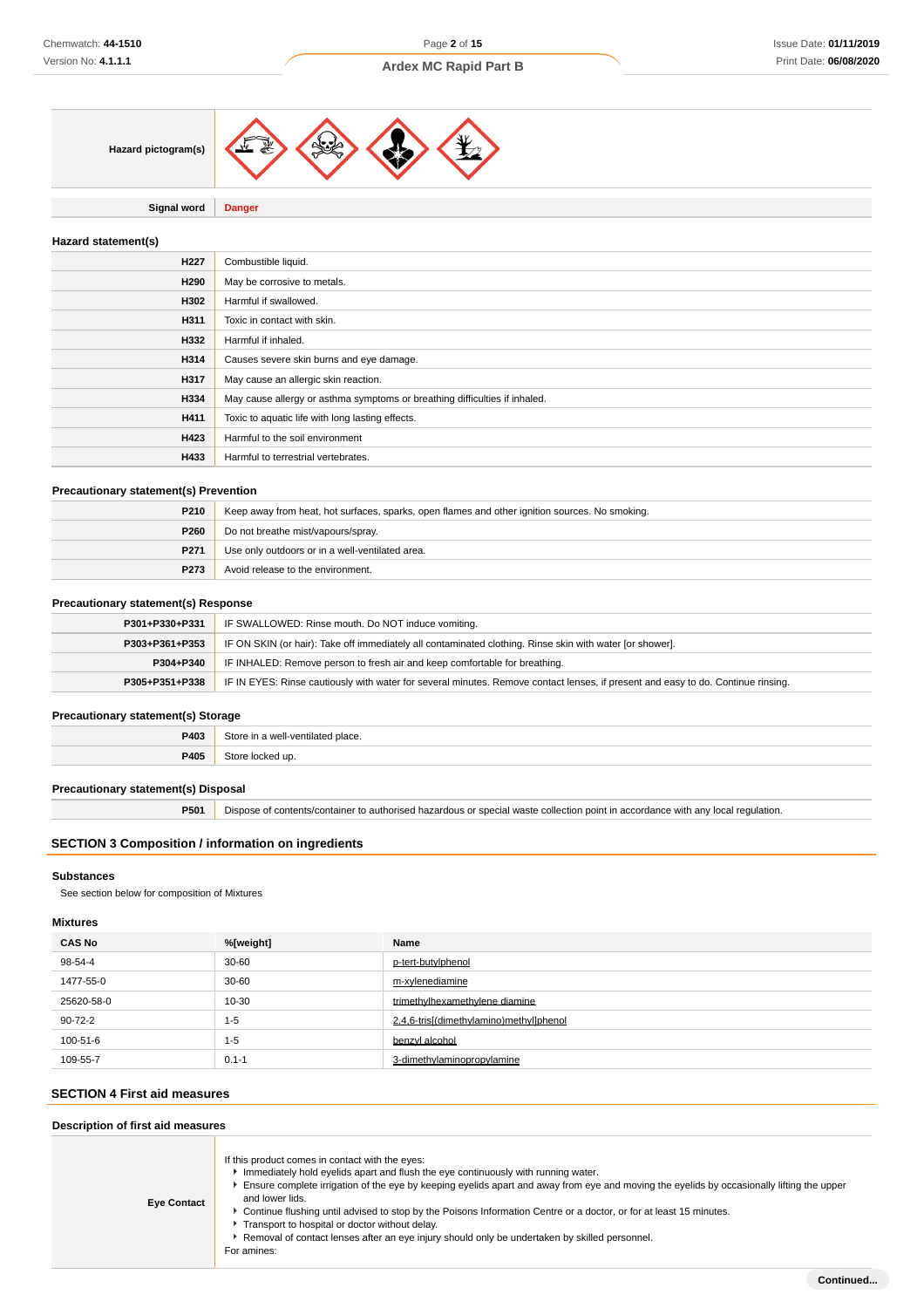

**Signal word Danger**

### **Hazard statement(s)**

| H <sub>22</sub> 7 | Combustible liquid.                                                        |
|-------------------|----------------------------------------------------------------------------|
| H290              | May be corrosive to metals.                                                |
| H302              | Harmful if swallowed.                                                      |
| H311              | Toxic in contact with skin.                                                |
| H332              | Harmful if inhaled.                                                        |
| H314              | Causes severe skin burns and eye damage.                                   |
| H317              | May cause an allergic skin reaction.                                       |
| H334              | May cause allergy or asthma symptoms or breathing difficulties if inhaled. |
| H411              | Toxic to aquatic life with long lasting effects.                           |
| H423              | Harmful to the soil environment                                            |
| H433              | Harmful to terrestrial vertebrates.                                        |

#### **Precautionary statement(s) Prevention**

| P210        | Keep away from heat, hot surfaces, sparks, open flames and other ignition sources. No smoking. |
|-------------|------------------------------------------------------------------------------------------------|
| <b>P260</b> | Do not breathe mist/vapours/spray.                                                             |
| P271        | Use only outdoors or in a well-ventilated area.                                                |
| P273        | Avoid release to the environment.                                                              |

### **Precautionary statement(s) Response**

| P301+P330+P331 | IF SWALLOWED: Rinse mouth. Do NOT induce vomiting.                                                                               |
|----------------|----------------------------------------------------------------------------------------------------------------------------------|
| P303+P361+P353 | IF ON SKIN (or hair): Take off immediately all contaminated clothing. Rinse skin with water [or shower].                         |
| P304+P340      | IF INHALED: Remove person to fresh air and keep comfortable for breathing.                                                       |
| P305+P351+P338 | IF IN EYES: Rinse cautiously with water for several minutes. Remove contact lenses, if present and easy to do. Continue rinsing. |

#### **Precautionary statement(s) Storage**

| 7403 | 1.1.7.<br>110011010<br>blace. |
|------|-------------------------------|
| P405 |                               |

### **Precautionary statement(s) Disposal**

**P501** Dispose of contents/container to authorised hazardous or special waste collection point in accordance with any local regulation.

### **SECTION 3 Composition / information on ingredients**

#### **Substances**

See section below for composition of Mixtures

#### **Mixtures**

| <b>CAS No</b> | %[weight] | Name                                    |
|---------------|-----------|-----------------------------------------|
| 98-54-4       | $30 - 60$ | p-tert-butylphenol                      |
| 1477-55-0     | $30 - 60$ | m-xylenediamine                         |
| 25620-58-0    | 10-30     | trimethylhexamethylene diamine          |
| 90-72-2       | $1 - 5$   | 2.4.6-trisl(dimethylamino)methyllphenol |
| 100-51-6      | $1 - 5$   | benzyl alcohol                          |
| 109-55-7      | $0.1 - 1$ | 3-dimethylaminopropylamine              |

#### **SECTION 4 First aid measures**

| Description of first aid measures |                                                                                                                                                                                                                                                                                                                                                                                                                                                                                                                                                                                                |  |
|-----------------------------------|------------------------------------------------------------------------------------------------------------------------------------------------------------------------------------------------------------------------------------------------------------------------------------------------------------------------------------------------------------------------------------------------------------------------------------------------------------------------------------------------------------------------------------------------------------------------------------------------|--|
| <b>Eye Contact</b>                | If this product comes in contact with the eyes:<br>Immediately hold eyelids apart and flush the eye continuously with running water.<br>Ensure complete irrigation of the eye by keeping eyelids apart and away from eye and moving the eyelids by occasionally lifting the upper<br>and lower lids.<br>▶ Continue flushing until advised to stop by the Poisons Information Centre or a doctor, or for at least 15 minutes.<br>Transport to hospital or doctor without delay.<br>Removal of contact lenses after an eye injury should only be undertaken by skilled personnel.<br>For amines: |  |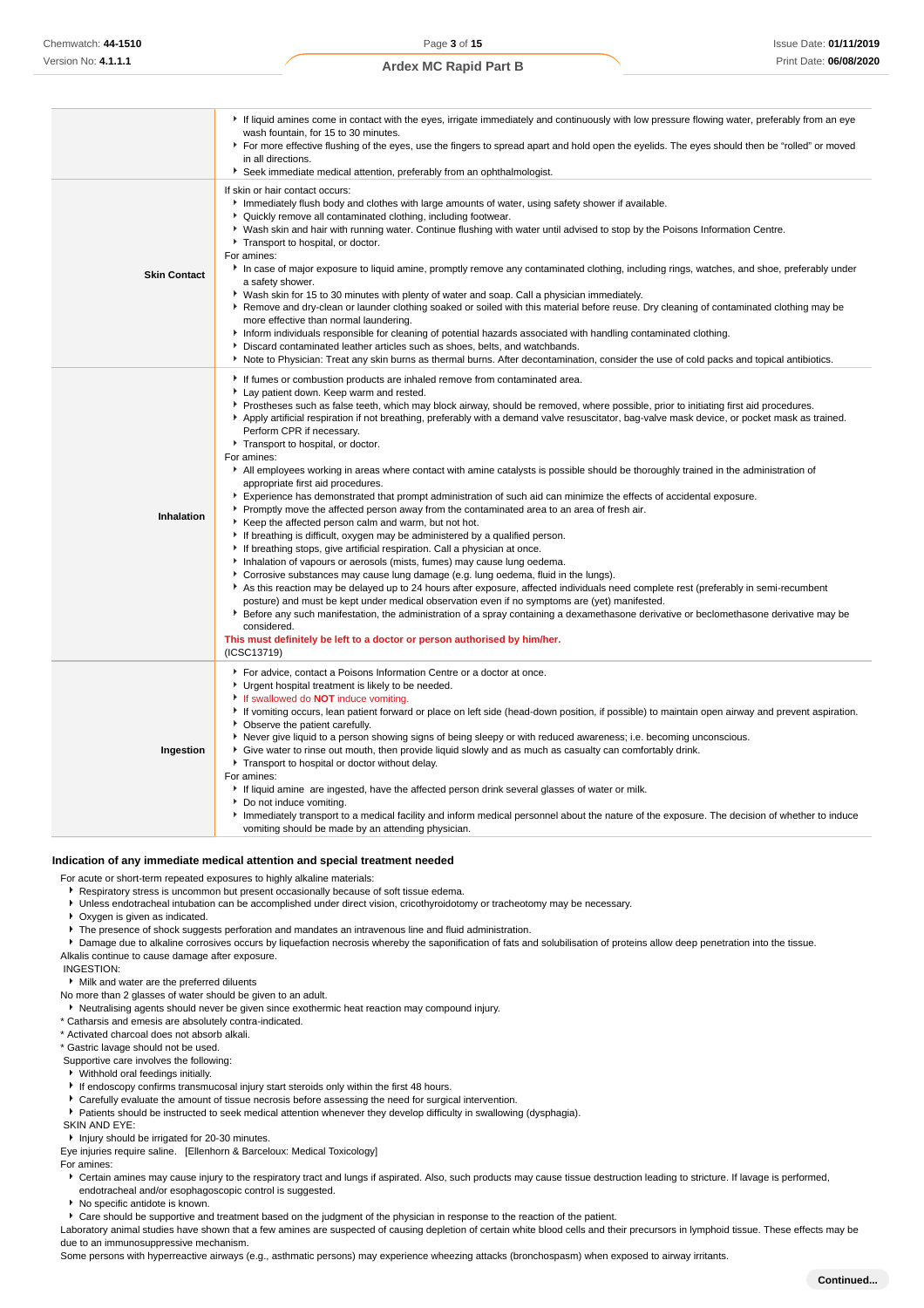|                     | If liquid amines come in contact with the eyes, irrigate immediately and continuously with low pressure flowing water, preferably from an eye<br>wash fountain, for 15 to 30 minutes.<br>For more effective flushing of the eyes, use the fingers to spread apart and hold open the eyelids. The eyes should then be "rolled" or moved<br>in all directions.<br>Seek immediate medical attention, preferably from an ophthalmologist.                                                                                                                                                                                                                                                                                                                                                                                                                                                                                                                                                                                                                                                                                                                                                                                                                                                                                                                                                                                                                                                                                                                                                                                                                                                                                                                                                     |
|---------------------|-------------------------------------------------------------------------------------------------------------------------------------------------------------------------------------------------------------------------------------------------------------------------------------------------------------------------------------------------------------------------------------------------------------------------------------------------------------------------------------------------------------------------------------------------------------------------------------------------------------------------------------------------------------------------------------------------------------------------------------------------------------------------------------------------------------------------------------------------------------------------------------------------------------------------------------------------------------------------------------------------------------------------------------------------------------------------------------------------------------------------------------------------------------------------------------------------------------------------------------------------------------------------------------------------------------------------------------------------------------------------------------------------------------------------------------------------------------------------------------------------------------------------------------------------------------------------------------------------------------------------------------------------------------------------------------------------------------------------------------------------------------------------------------------|
| <b>Skin Contact</b> | If skin or hair contact occurs:<br>Immediately flush body and clothes with large amounts of water, using safety shower if available.<br>• Quickly remove all contaminated clothing, including footwear.<br>▶ Wash skin and hair with running water. Continue flushing with water until advised to stop by the Poisons Information Centre.<br>Transport to hospital, or doctor.<br>For amines:<br>In case of major exposure to liquid amine, promptly remove any contaminated clothing, including rings, watches, and shoe, preferably under<br>a safety shower.<br>▶ Wash skin for 15 to 30 minutes with plenty of water and soap. Call a physician immediately.<br>Remove and dry-clean or launder clothing soaked or soiled with this material before reuse. Dry cleaning of contaminated clothing may be<br>more effective than normal laundering.<br>Inform individuals responsible for cleaning of potential hazards associated with handling contaminated clothing.<br>Discard contaminated leather articles such as shoes, belts, and watchbands.<br>Note to Physician: Treat any skin burns as thermal burns. After decontamination, consider the use of cold packs and topical antibiotics.                                                                                                                                                                                                                                                                                                                                                                                                                                                                                                                                                                                      |
| Inhalation          | If fumes or combustion products are inhaled remove from contaminated area.<br>Lay patient down. Keep warm and rested.<br>▶ Prostheses such as false teeth, which may block airway, should be removed, where possible, prior to initiating first aid procedures.<br>Apply artificial respiration if not breathing, preferably with a demand valve resuscitator, bag-valve mask device, or pocket mask as trained.<br>Perform CPR if necessary.<br>Transport to hospital, or doctor.<br>For amines:<br>All employees working in areas where contact with amine catalysts is possible should be thoroughly trained in the administration of<br>appropriate first aid procedures.<br>Experience has demonstrated that prompt administration of such aid can minimize the effects of accidental exposure.<br>▶ Promptly move the affected person away from the contaminated area to an area of fresh air.<br>Keep the affected person calm and warm, but not hot.<br>If breathing is difficult, oxygen may be administered by a qualified person.<br>If breathing stops, give artificial respiration. Call a physician at once.<br>Inhalation of vapours or aerosols (mists, fumes) may cause lung oedema.<br>Corrosive substances may cause lung damage (e.g. lung oedema, fluid in the lungs).<br>As this reaction may be delayed up to 24 hours after exposure, affected individuals need complete rest (preferably in semi-recumbent<br>posture) and must be kept under medical observation even if no symptoms are (yet) manifested.<br>Effore any such manifestation, the administration of a spray containing a dexamethasone derivative or beclomethasone derivative may be<br>considered.<br>This must definitely be left to a doctor or person authorised by him/her.<br>(ICSC13719) |
| Ingestion           | For advice, contact a Poisons Information Centre or a doctor at once.<br>Urgent hospital treatment is likely to be needed.<br>If swallowed do <b>NOT</b> induce vomiting.<br>If vomiting occurs, lean patient forward or place on left side (head-down position, if possible) to maintain open airway and prevent aspiration.<br>• Observe the patient carefully.<br>Never give liquid to a person showing signs of being sleepy or with reduced awareness; i.e. becoming unconscious.<br>• Give water to rinse out mouth, then provide liquid slowly and as much as casualty can comfortably drink.<br>Transport to hospital or doctor without delay.<br>For amines:<br>If liquid amine are ingested, have the affected person drink several glasses of water or milk.<br>Do not induce vomiting.<br>Immediately transport to a medical facility and inform medical personnel about the nature of the exposure. The decision of whether to induce<br>vomiting should be made by an attending physician.                                                                                                                                                                                                                                                                                                                                                                                                                                                                                                                                                                                                                                                                                                                                                                                  |

#### **Indication of any immediate medical attention and special treatment needed**

For acute or short-term repeated exposures to highly alkaline materials:

**Respiratory stress is uncommon but present occasionally because of soft tissue edema.** 

- Unless endotracheal intubation can be accomplished under direct vision, cricothyroidotomy or tracheotomy may be necessary.
- Oxygen is given as indicated.
- **F** The presence of shock suggests perforation and mandates an intravenous line and fluid administration.
- **P** Damage due to alkaline corrosives occurs by liquefaction necrosis whereby the saponification of fats and solubilisation of proteins allow deep penetration into the tissue. Alkalis continue to cause damage after exposure.

INGESTION:

Milk and water are the preferred diluents

- No more than 2 glasses of water should be given to an adult.
- Neutralising agents should never be given since exothermic heat reaction may compound injury.
- \* Catharsis and emesis are absolutely contra-indicated.

\* Activated charcoal does not absorb alkali.

\* Gastric lavage should not be used.

Supportive care involves the following:

Withhold oral feedings initially.

- If endoscopy confirms transmucosal injury start steroids only within the first 48 hours.
- Carefully evaluate the amount of tissue necrosis before assessing the need for surgical intervention.
- Patients should be instructed to seek medical attention whenever they develop difficulty in swallowing (dysphagia).

SKIN AND EYE:

**Injury should be irrigated for 20-30 minutes.** 

Eye injuries require saline. [Ellenhorn & Barceloux: Medical Toxicology]

For amines:

▶ Certain amines may cause injury to the respiratory tract and lungs if aspirated. Also, such products may cause tissue destruction leading to stricture. If lavage is performed, endotracheal and/or esophagoscopic control is suggested.

No specific antidote is known.

Care should be supportive and treatment based on the judgment of the physician in response to the reaction of the patient.

Laboratory animal studies have shown that a few amines are suspected of causing depletion of certain white blood cells and their precursors in lymphoid tissue. These effects may be due to an immunosuppressive mechanism.

Some persons with hyperreactive airways (e.g., asthmatic persons) may experience wheezing attacks (bronchospasm) when exposed to airway irritants.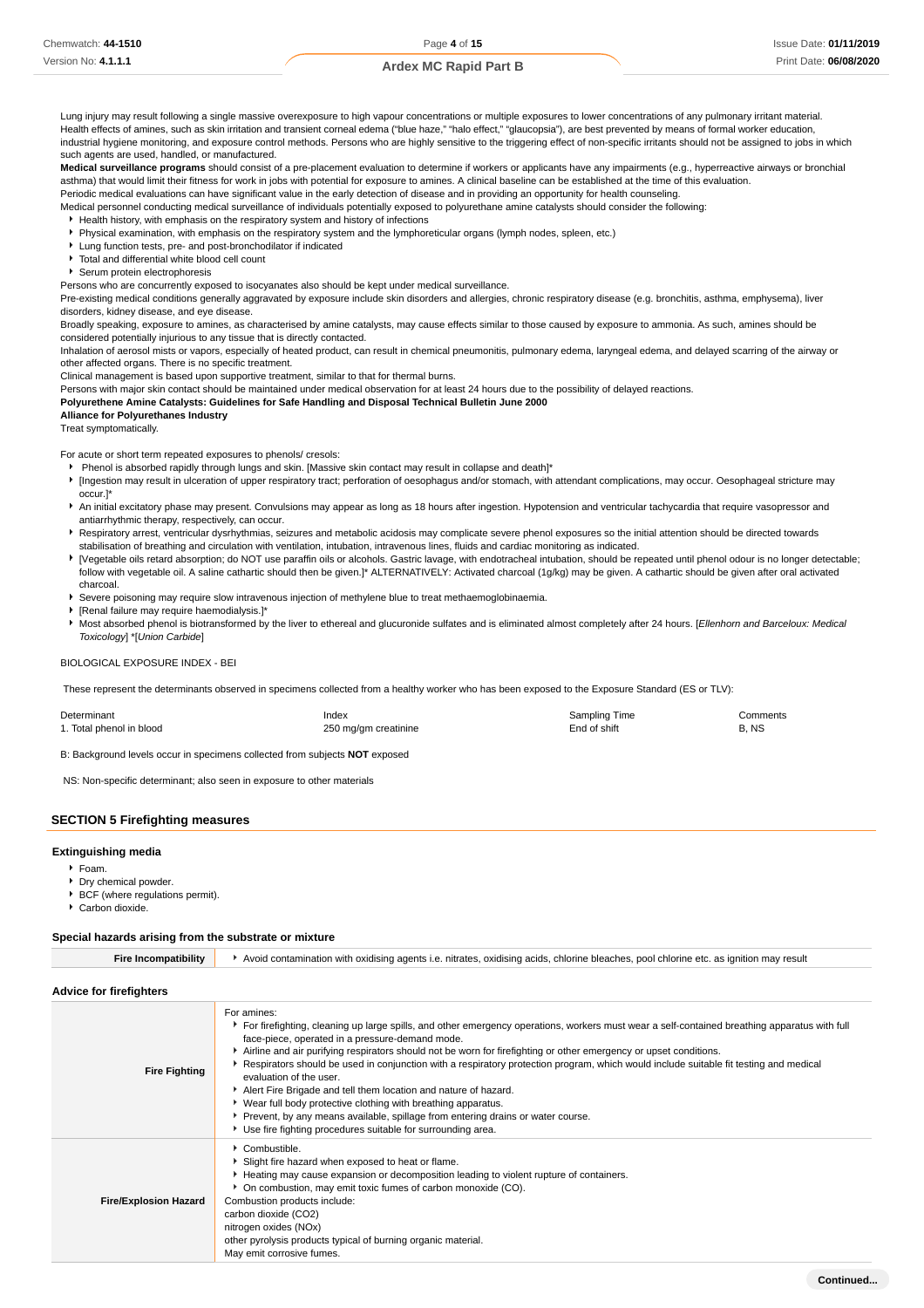Lung injury may result following a single massive overexposure to high vapour concentrations or multiple exposures to lower concentrations of any pulmonary irritant material. Health effects of amines, such as skin irritation and transient corneal edema ("blue haze," "halo effect," "glaucopsia"), are best prevented by means of formal worker education, industrial hygiene monitoring, and exposure control methods. Persons who are highly sensitive to the triggering effect of non-specific irritants should not be assigned to jobs in which such agents are used, handled, or manufactured.

**Medical surveillance programs** should consist of a pre-placement evaluation to determine if workers or applicants have any impairments (e.g., hyperreactive airways or bronchial asthma) that would limit their fitness for work in jobs with potential for exposure to amines. A clinical baseline can be established at the time of this evaluation.

Periodic medical evaluations can have significant value in the early detection of disease and in providing an opportunity for health counseling.

Medical personnel conducting medical surveillance of individuals potentially exposed to polyurethane amine catalysts should consider the following:

Health history, with emphasis on the respiratory system and history of infections Physical examination, with emphasis on the respiratory system and the lymphoreticular organs (lymph nodes, spleen, etc.)

- Lung function tests, pre- and post-bronchodilator if indicated
- Total and differential white blood cell count
- Serum protein electrophoresis

Persons who are concurrently exposed to isocyanates also should be kept under medical surveillance.

Pre-existing medical conditions generally aggravated by exposure include skin disorders and allergies, chronic respiratory disease (e.g. bronchitis, asthma, emphysema), liver disorders, kidney disease, and eye disease.

Broadly speaking, exposure to amines, as characterised by amine catalysts, may cause effects similar to those caused by exposure to ammonia. As such, amines should be considered potentially injurious to any tissue that is directly contacted.

Inhalation of aerosol mists or vapors, especially of heated product, can result in chemical pneumonitis, pulmonary edema, laryngeal edema, and delayed scarring of the airway or other affected organs. There is no specific treatment.

Clinical management is based upon supportive treatment, similar to that for thermal burns.

Persons with major skin contact should be maintained under medical observation for at least 24 hours due to the possibility of delayed reactions.

**Polyurethene Amine Catalysts: Guidelines for Safe Handling and Disposal Technical Bulletin June 2000**

**Alliance for Polyurethanes Industry** Treat symptomatically.

For acute or short term repeated exposures to phenols/ cresols:

- Phenol is absorbed rapidly through lungs and skin. [Massive skin contact may result in collapse and death]\*
- [Ingestion may result in ulceration of upper respiratory tract; perforation of oesophagus and/or stomach, with attendant complications, may occur. Oesophageal stricture may occur.]\*
- An initial excitatory phase may present. Convulsions may appear as long as 18 hours after ingestion. Hypotension and ventricular tachycardia that require vasopressor and antiarrhythmic therapy, respectively, can occur.
- **F** Respiratory arrest, ventricular dysrhythmias, seizures and metabolic acidosis may complicate severe phenol exposures so the initial attention should be directed towards stabilisation of breathing and circulation with ventilation, intubation, intravenous lines, fluids and cardiac monitoring as indicated.
- [Vegetable oils retard absorption; do NOT use paraffin oils or alcohols. Gastric lavage, with endotracheal intubation, should be repeated until phenol odour is no longer detectable; follow with vegetable oil. A saline cathartic should then be given.]\* ALTERNATIVELY: Activated charcoal (1g/kg) may be given. A cathartic should be given after oral activated charcoal.
- Severe poisoning may require slow intravenous injection of methylene blue to treat methaemoglobinaemia.
- [Renal failure may require haemodialysis.]\*
- Most absorbed phenol is biotransformed by the liver to ethereal and glucuronide sulfates and is eliminated almost completely after 24 hours. [Ellenhorn and Barceloux: Medical Toxicology] \*[Union Carbide]

#### BIOLOGICAL EXPOSURE INDEX - BEI

These represent the determinants observed in specimens collected from a healthy worker who has been exposed to the Exposure Standard (ES or TLV):

| Determinant              | Index                | Sampling Time | Comments |
|--------------------------|----------------------|---------------|----------|
| 1. Total phenol in blood | 250 mg/gm creatinine | End of shift  | B. NS    |

B: Background levels occur in specimens collected from subjects **NOT** exposed

NS: Non-specific determinant; also seen in exposure to other materials

#### **SECTION 5 Firefighting measures**

#### **Extinguishing media**

Foam.

- **Dry chemical powder**
- BCF (where regulations permit).
- Carbon dioxide.

#### **Special hazards arising from the substrate or mixture**

| <b>Fire Incompatibility</b>    | Avoid contamination with oxidising agents i.e. nitrates, oxidising acids, chlorine bleaches, pool chlorine etc. as ignition may result                                                                                                                                                                                                                                                                                                                                                                                                                                                                                                                                                                                                                                                         |  |  |
|--------------------------------|------------------------------------------------------------------------------------------------------------------------------------------------------------------------------------------------------------------------------------------------------------------------------------------------------------------------------------------------------------------------------------------------------------------------------------------------------------------------------------------------------------------------------------------------------------------------------------------------------------------------------------------------------------------------------------------------------------------------------------------------------------------------------------------------|--|--|
| <b>Advice for firefighters</b> |                                                                                                                                                                                                                                                                                                                                                                                                                                                                                                                                                                                                                                                                                                                                                                                                |  |  |
| <b>Fire Fighting</b>           | For amines:<br>For firefighting, cleaning up large spills, and other emergency operations, workers must wear a self-contained breathing apparatus with full<br>face-piece, operated in a pressure-demand mode.<br>Airline and air purifying respirators should not be worn for firefighting or other emergency or upset conditions.<br>Respirators should be used in conjunction with a respiratory protection program, which would include suitable fit testing and medical<br>evaluation of the user.<br>Alert Fire Brigade and tell them location and nature of hazard.<br>▶ Wear full body protective clothing with breathing apparatus.<br>Prevent, by any means available, spillage from entering drains or water course.<br>Use fire fighting procedures suitable for surrounding area. |  |  |
| <b>Fire/Explosion Hazard</b>   | Combustible.<br>Slight fire hazard when exposed to heat or flame.<br>Heating may cause expansion or decomposition leading to violent rupture of containers.<br>On combustion, may emit toxic fumes of carbon monoxide (CO).<br>Combustion products include:<br>carbon dioxide (CO2)<br>nitrogen oxides (NOx)<br>other pyrolysis products typical of burning organic material.<br>May emit corrosive fumes.                                                                                                                                                                                                                                                                                                                                                                                     |  |  |
|                                | Continued                                                                                                                                                                                                                                                                                                                                                                                                                                                                                                                                                                                                                                                                                                                                                                                      |  |  |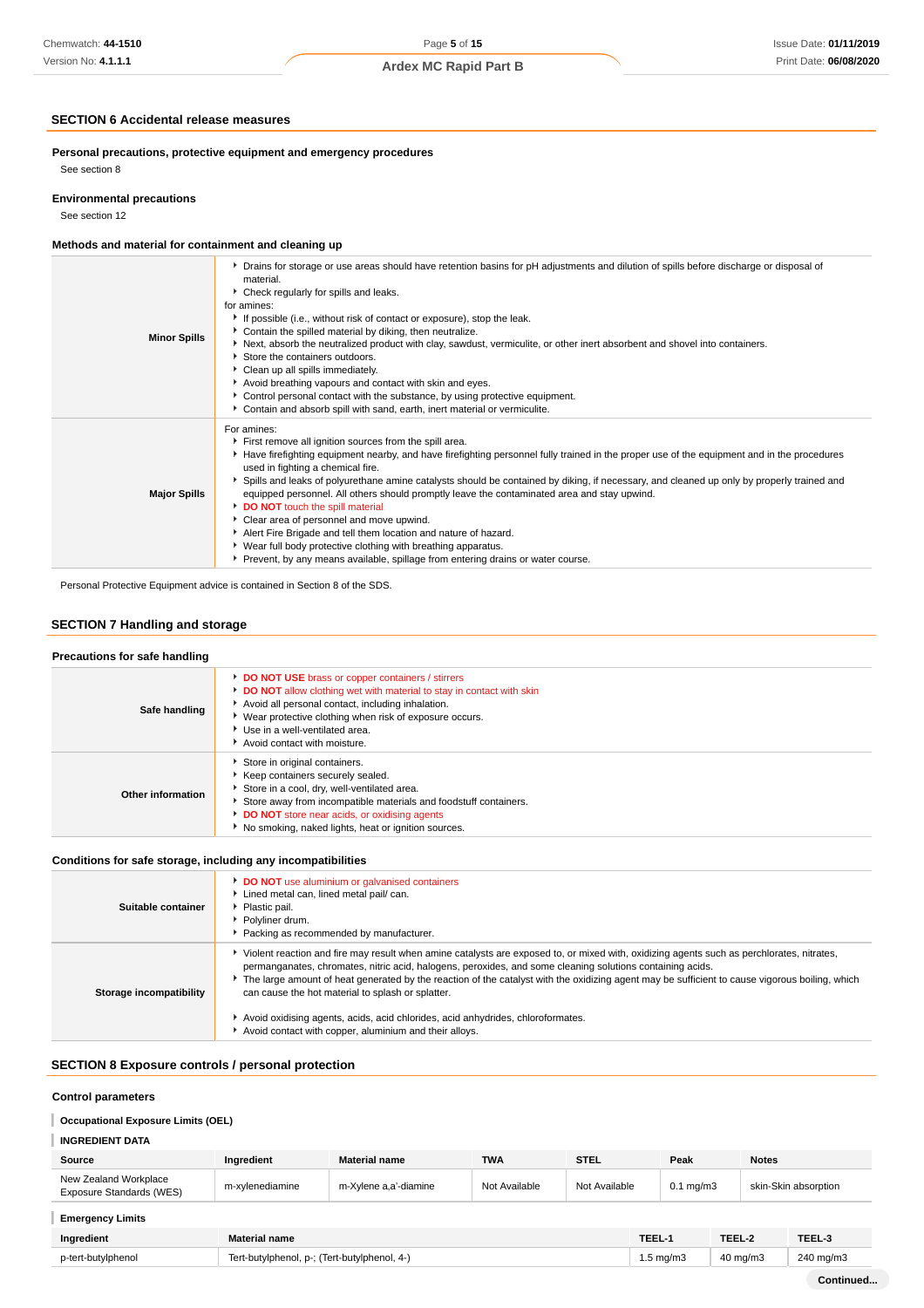### **SECTION 6 Accidental release measures**

**Personal precautions, protective equipment and emergency procedures** See section 8

# **Environmental precautions**

See section 12

### **Methods and material for containment and cleaning up**

| <b>Minor Spills</b> | ▶ Drains for storage or use areas should have retention basins for pH adjustments and dilution of spills before discharge or disposal of<br>material.<br>▶ Check regularly for spills and leaks.<br>for amines:<br>If possible (i.e., without risk of contact or exposure), stop the leak.<br>Contain the spilled material by diking, then neutralize.<br>▶ Next, absorb the neutralized product with clay, sawdust, vermiculite, or other inert absorbent and shovel into containers.<br>Store the containers outdoors.<br>Clean up all spills immediately.<br>Avoid breathing vapours and contact with skin and eyes.<br>▶ Control personal contact with the substance, by using protective equipment.<br>Contain and absorb spill with sand, earth, inert material or vermiculite.                             |
|---------------------|-------------------------------------------------------------------------------------------------------------------------------------------------------------------------------------------------------------------------------------------------------------------------------------------------------------------------------------------------------------------------------------------------------------------------------------------------------------------------------------------------------------------------------------------------------------------------------------------------------------------------------------------------------------------------------------------------------------------------------------------------------------------------------------------------------------------|
| <b>Major Spills</b> | For amines:<br>First remove all ignition sources from the spill area.<br>Have firefighting equipment nearby, and have firefighting personnel fully trained in the proper use of the equipment and in the procedures<br>used in fighting a chemical fire.<br>▶ Spills and leaks of polyurethane amine catalysts should be contained by diking, if necessary, and cleaned up only by properly trained and<br>equipped personnel. All others should promptly leave the contaminated area and stay upwind.<br>DO NOT touch the spill material<br>• Clear area of personnel and move upwind.<br>Alert Fire Brigade and tell them location and nature of hazard.<br>• Wear full body protective clothing with breathing apparatus.<br>▶ Prevent, by any means available, spillage from entering drains or water course. |

Personal Protective Equipment advice is contained in Section 8 of the SDS.

### **SECTION 7 Handling and storage**

#### **Precautions for safe handling Safe handling DO NOT USE** brass or copper containers / stirrers **DO NOT** allow clothing wet with material to stay in contact with skin Avoid all personal contact, including inhalation. Wear protective clothing when risk of exposure occurs. Use in a well-ventilated area. Avoid contact with moisture. **Other information** Store in original containers. Keep containers securely sealed. Store in a cool, dry, well-ventilated area. Store away from incompatible materials and foodstuff containers. **DO NOT** store near acids, or oxidising agents  $\blacktriangleright$  No smoking, naked lights, heat or ignition sources.

#### **Conditions for safe storage, including any incompatibilities**

| Suitable container      | <b>DO NOT</b> use aluminium or galvanised containers<br>Lined metal can, lined metal pail/ can.<br>Plastic pail.<br>Polyliner drum.<br>Packing as recommended by manufacturer.                                                                                                                                                                                                                                                                                                                                                                                                                             |
|-------------------------|------------------------------------------------------------------------------------------------------------------------------------------------------------------------------------------------------------------------------------------------------------------------------------------------------------------------------------------------------------------------------------------------------------------------------------------------------------------------------------------------------------------------------------------------------------------------------------------------------------|
| Storage incompatibility | Violent reaction and fire may result when amine catalysts are exposed to, or mixed with, oxidizing agents such as perchlorates, nitrates,<br>permanganates, chromates, nitric acid, halogens, peroxides, and some cleaning solutions containing acids.<br>The large amount of heat generated by the reaction of the catalyst with the oxidizing agent may be sufficient to cause vigorous boiling, which<br>can cause the hot material to splash or splatter.<br>Avoid oxidising agents, acids, acid chlorides, acid anhydrides, chloroformates.<br>Avoid contact with copper, aluminium and their alloys. |

### **SECTION 8 Exposure controls / personal protection**

### **Control parameters**

### **Occupational Exposure Limits (OEL)**

| INGREDIENT DATA                                   |                 |                       |               |               |                      |                      |
|---------------------------------------------------|-----------------|-----------------------|---------------|---------------|----------------------|----------------------|
| Source                                            | Ingredient      | <b>Material name</b>  | <b>TWA</b>    | <b>STEL</b>   | Peak                 | <b>Notes</b>         |
| New Zealand Workplace<br>Exposure Standards (WES) | m-xvlenediamine | m-Xvlene a.a'-diamine | Not Available | Not Available | $0.1 \text{ ma/m}$ 3 | skin-Skin absorption |

#### **Emergency Limits**

| Ingredient         | <b>Material name</b>                                            |        | TEEL 2   | TEEL-J               |
|--------------------|-----------------------------------------------------------------|--------|----------|----------------------|
| p-tert-butylphenol | Tert-butylphenol, p-; 2<br>(Tert-butylphenol, .<br>$\mathbf{A}$ | ∶ma/m: | 40 mg/m3 | $240 \text{ ma/m}$ 3 |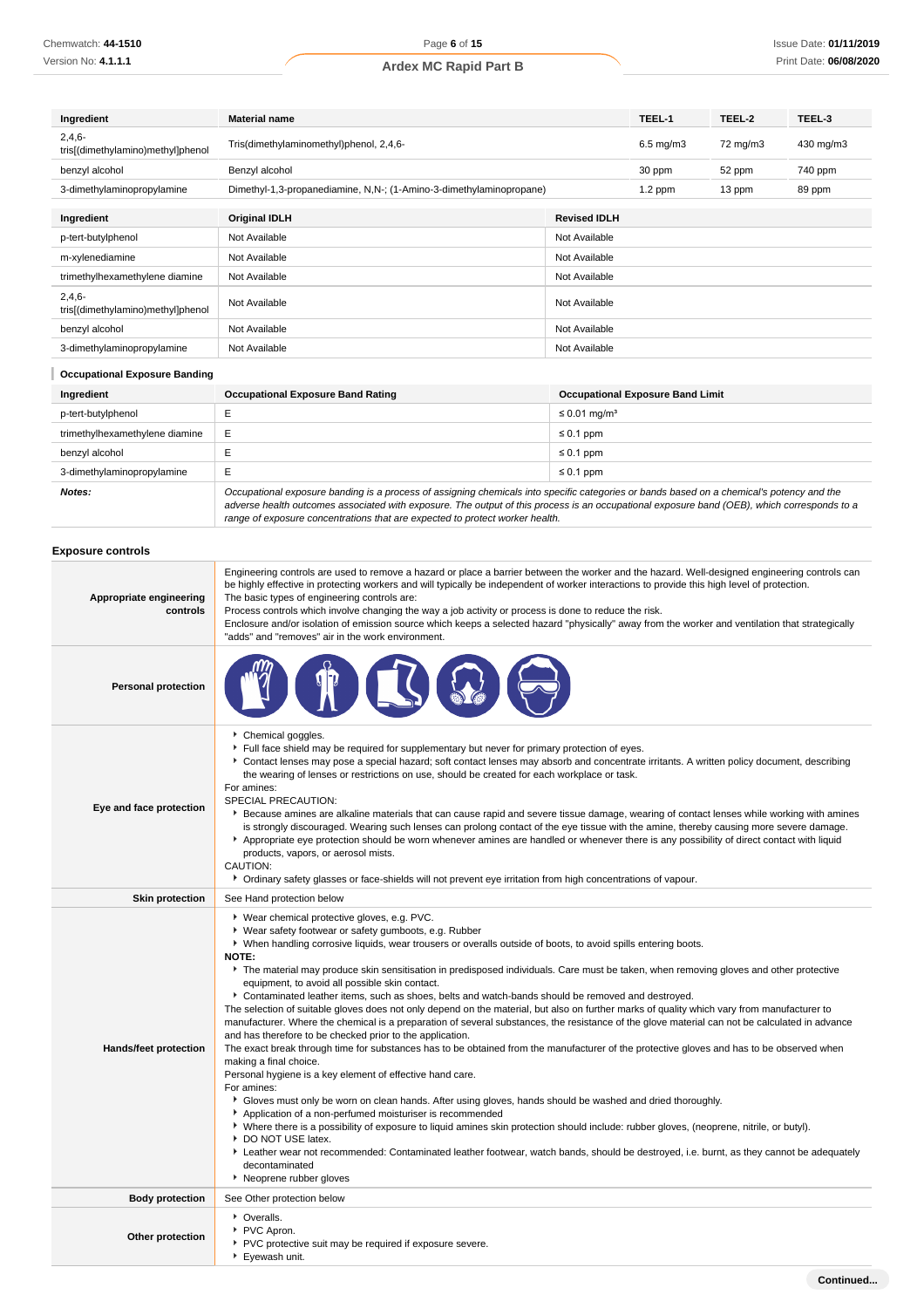| Ingredient                                    | <b>Material name</b>                                                |                     | TEEL-1               | TEEL-2            | TEEL-3    |
|-----------------------------------------------|---------------------------------------------------------------------|---------------------|----------------------|-------------------|-----------|
| $2,4,6-$<br>tris[(dimethylamino)methyl]phenol | Tris(dimethylaminomethyl)phenol, 2,4,6-                             |                     | $6.5 \text{ mg/m}$ 3 | $72 \text{ mg/m}$ | 430 mg/m3 |
| benzyl alcohol                                | Benzyl alcohol                                                      |                     | 30 ppm               | 52 ppm            | 740 ppm   |
| 3-dimethylaminopropylamine                    | Dimethyl-1,3-propanediamine, N,N-; (1-Amino-3-dimethylaminopropane) |                     | $1.2$ ppm            | 13 ppm            | 89 ppm    |
| Ingredient                                    | <b>Original IDLH</b>                                                | <b>Revised IDLH</b> |                      |                   |           |
| p-tert-butylphenol                            | Not Available                                                       | Not Available       |                      |                   |           |
| m-xylenediamine                               | Not Available                                                       | Not Available       |                      |                   |           |
| trimethylhexamethylene diamine                | Not Available                                                       | Not Available       |                      |                   |           |
| $2,4,6-$<br>tris[(dimethylamino)methyl]phenol | Not Available                                                       | Not Available       |                      |                   |           |
| benzyl alcohol                                | Not Available                                                       | Not Available       |                      |                   |           |
| 3-dimethylaminopropylamine                    | Not Available                                                       | Not Available       |                      |                   |           |

| <b>Occupational Exposure Banding</b> |                                                                                                                                                                                                                                                                                          |                                         |  |  |  |
|--------------------------------------|------------------------------------------------------------------------------------------------------------------------------------------------------------------------------------------------------------------------------------------------------------------------------------------|-----------------------------------------|--|--|--|
| Ingredient                           | <b>Occupational Exposure Band Rating</b>                                                                                                                                                                                                                                                 | <b>Occupational Exposure Band Limit</b> |  |  |  |
| p-tert-butylphenol                   |                                                                                                                                                                                                                                                                                          | $\leq$ 0.01 mg/m <sup>3</sup>           |  |  |  |
| trimethylhexamethylene diamine       | E                                                                                                                                                                                                                                                                                        | $\leq 0.1$ ppm                          |  |  |  |
| benzyl alcohol                       |                                                                                                                                                                                                                                                                                          | $\leq 0.1$ ppm                          |  |  |  |
| 3-dimethylaminopropylamine           | E                                                                                                                                                                                                                                                                                        | $\leq 0.1$ ppm                          |  |  |  |
| Notes:                               | Occupational exposure banding is a process of assigning chemicals into specific categories or bands based on a chemical's potency and the<br>adverse health outcomes associated with exposure. The output of this process is an occupational exposure band (OEB), which corresponds to a |                                         |  |  |  |

range of exposure concentrations that are expected to protect worker health.

### **Exposure controls**

| Appropriate engineering<br>controls | Engineering controls are used to remove a hazard or place a barrier between the worker and the hazard. Well-designed engineering controls can<br>be highly effective in protecting workers and will typically be independent of worker interactions to provide this high level of protection.<br>The basic types of engineering controls are:<br>Process controls which involve changing the way a job activity or process is done to reduce the risk.<br>Enclosure and/or isolation of emission source which keeps a selected hazard "physically" away from the worker and ventilation that strategically<br>"adds" and "removes" air in the work environment.                                                                                                                                                                                                                                                                                                                                                                                                                                                                                                                                                                                                                                                                                                                                                                                                                                                                                                                                                                                                                            |
|-------------------------------------|--------------------------------------------------------------------------------------------------------------------------------------------------------------------------------------------------------------------------------------------------------------------------------------------------------------------------------------------------------------------------------------------------------------------------------------------------------------------------------------------------------------------------------------------------------------------------------------------------------------------------------------------------------------------------------------------------------------------------------------------------------------------------------------------------------------------------------------------------------------------------------------------------------------------------------------------------------------------------------------------------------------------------------------------------------------------------------------------------------------------------------------------------------------------------------------------------------------------------------------------------------------------------------------------------------------------------------------------------------------------------------------------------------------------------------------------------------------------------------------------------------------------------------------------------------------------------------------------------------------------------------------------------------------------------------------------|
| <b>Personal protection</b>          |                                                                                                                                                                                                                                                                                                                                                                                                                                                                                                                                                                                                                                                                                                                                                                                                                                                                                                                                                                                                                                                                                                                                                                                                                                                                                                                                                                                                                                                                                                                                                                                                                                                                                            |
| Eye and face protection             | Chemical goggles.<br>Full face shield may be required for supplementary but never for primary protection of eyes.<br>Contact lenses may pose a special hazard; soft contact lenses may absorb and concentrate irritants. A written policy document, describing<br>the wearing of lenses or restrictions on use, should be created for each workplace or task.<br>For amines:<br>SPECIAL PRECAUTION:<br>▶ Because amines are alkaline materials that can cause rapid and severe tissue damage, wearing of contact lenses while working with amines<br>is strongly discouraged. Wearing such lenses can prolong contact of the eye tissue with the amine, thereby causing more severe damage.<br>Appropriate eye protection should be worn whenever amines are handled or whenever there is any possibility of direct contact with liquid<br>products, vapors, or aerosol mists.<br>CAUTION:<br>• Ordinary safety glasses or face-shields will not prevent eye irritation from high concentrations of vapour.                                                                                                                                                                                                                                                                                                                                                                                                                                                                                                                                                                                                                                                                                |
| <b>Skin protection</b>              | See Hand protection below                                                                                                                                                                                                                                                                                                                                                                                                                                                                                                                                                                                                                                                                                                                                                                                                                                                                                                                                                                                                                                                                                                                                                                                                                                                                                                                                                                                                                                                                                                                                                                                                                                                                  |
| Hands/feet protection               | ▶ Wear chemical protective gloves, e.g. PVC.<br>▶ Wear safety footwear or safety gumboots, e.g. Rubber<br>▶ When handling corrosive liquids, wear trousers or overalls outside of boots, to avoid spills entering boots.<br><b>NOTE:</b><br>The material may produce skin sensitisation in predisposed individuals. Care must be taken, when removing gloves and other protective<br>equipment, to avoid all possible skin contact.<br>Contaminated leather items, such as shoes, belts and watch-bands should be removed and destroyed.<br>The selection of suitable gloves does not only depend on the material, but also on further marks of quality which vary from manufacturer to<br>manufacturer. Where the chemical is a preparation of several substances, the resistance of the glove material can not be calculated in advance<br>and has therefore to be checked prior to the application.<br>The exact break through time for substances has to be obtained from the manufacturer of the protective gloves and has to be observed when<br>making a final choice.<br>Personal hygiene is a key element of effective hand care.<br>For amines:<br>Gloves must only be worn on clean hands. After using gloves, hands should be washed and dried thoroughly.<br>Application of a non-perfumed moisturiser is recommended<br>• Where there is a possibility of exposure to liquid amines skin protection should include: rubber gloves, (neoprene, nitrile, or butyl).<br>DO NOT USE latex.<br>Eather wear not recommended: Contaminated leather footwear, watch bands, should be destroyed, i.e. burnt, as they cannot be adequately<br>decontaminated<br>Neoprene rubber gloves |
| <b>Body protection</b>              | See Other protection below                                                                                                                                                                                                                                                                                                                                                                                                                                                                                                                                                                                                                                                                                                                                                                                                                                                                                                                                                                                                                                                                                                                                                                                                                                                                                                                                                                                                                                                                                                                                                                                                                                                                 |
| Other protection                    | • Overalls.<br>PVC Apron.<br>▶ PVC protective suit may be required if exposure severe.<br>Eyewash unit.                                                                                                                                                                                                                                                                                                                                                                                                                                                                                                                                                                                                                                                                                                                                                                                                                                                                                                                                                                                                                                                                                                                                                                                                                                                                                                                                                                                                                                                                                                                                                                                    |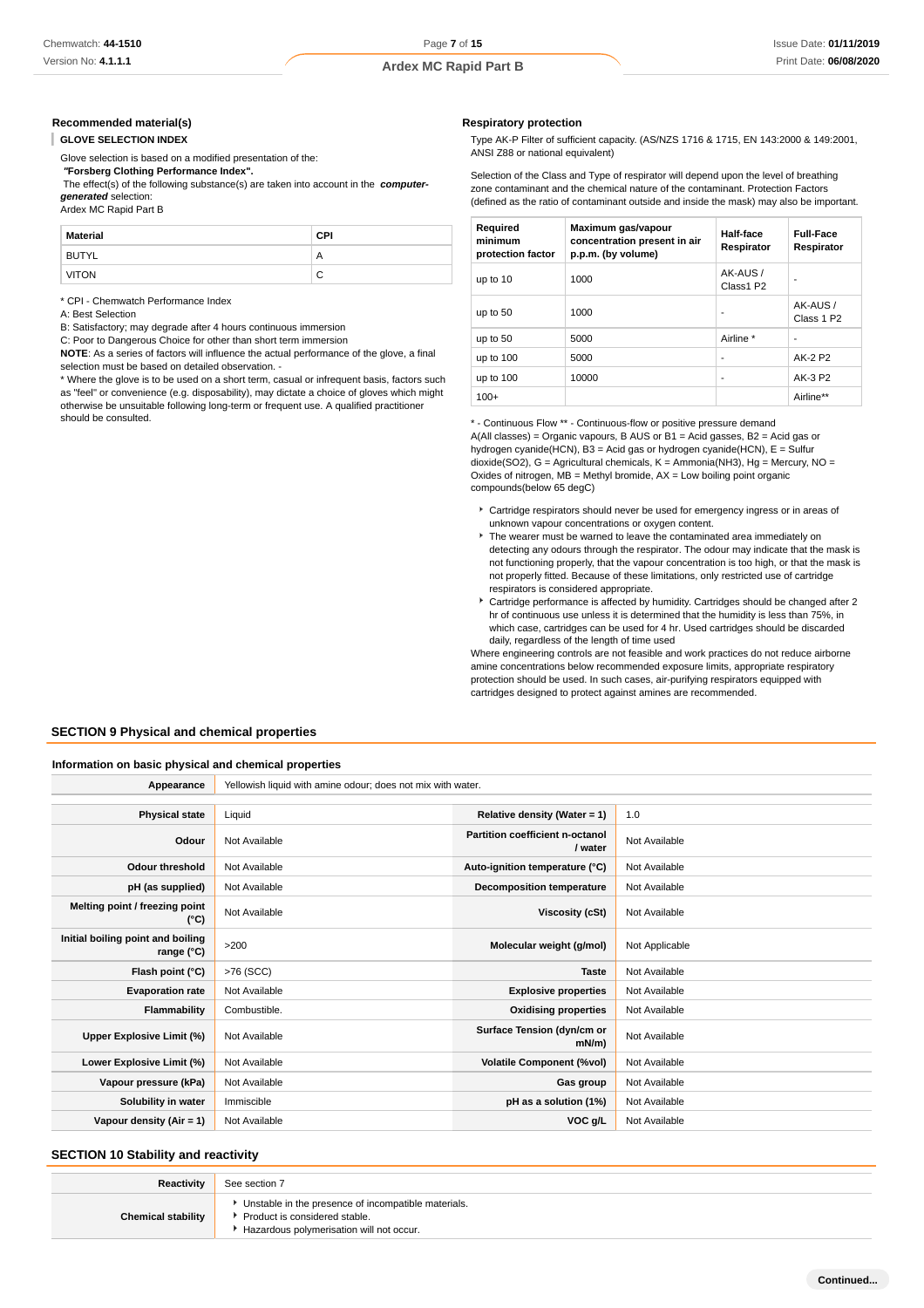#### **Recommended material(s)**

**GLOVE SELECTION INDEX**

Glove selection is based on a modified presentation of the:

 **"Forsberg Clothing Performance Index".**

 The effect(s) of the following substance(s) are taken into account in the **computergenerated** selection:

Ardex MC Rapid Part B

| <b>Material</b> | CPI |
|-----------------|-----|
| <b>BUTYL</b>    | Α   |
| <b>VITON</b>    | ◡   |

\* CPI - Chemwatch Performance Index

A: Best Selection

B: Satisfactory; may degrade after 4 hours continuous immersion

C: Poor to Dangerous Choice for other than short term immersion

**NOTE**: As a series of factors will influence the actual performance of the glove, a final selection must be based on detailed observation. -

\* Where the glove is to be used on a short term, casual or infrequent basis, factors such as "feel" or convenience (e.g. disposability), may dictate a choice of gloves which might otherwise be unsuitable following long-term or frequent use. A qualified practitioner should be consulted.

#### **Respiratory protection**

Type AK-P Filter of sufficient capacity. (AS/NZS 1716 & 1715, EN 143:2000 & 149:2001, ANSI Z88 or national equivalent)

Selection of the Class and Type of respirator will depend upon the level of breathing zone contaminant and the chemical nature of the contaminant. Protection Factors (defined as the ratio of contaminant outside and inside the mask) may also be important.

| Required<br>minimum<br>protection factor | Maximum gas/vapour<br>concentration present in air<br>p.p.m. (by volume) | Half-face<br>Respirator | <b>Full-Face</b><br>Respirator    |
|------------------------------------------|--------------------------------------------------------------------------|-------------------------|-----------------------------------|
| up to 10                                 | 1000                                                                     | AK-AUS /<br>Class1 P2   | ۰                                 |
| up to 50                                 | 1000                                                                     | ٠                       | AK-AUS/<br>Class 1 P <sub>2</sub> |
| up to 50                                 | 5000                                                                     | Airline *               |                                   |
| up to 100                                | 5000                                                                     | ۰                       | AK-2 P2                           |
| up to 100                                | 10000                                                                    | ٠                       | AK-3 P2                           |
| $100+$                                   |                                                                          |                         | Airline**                         |

\* - Continuous Flow \*\* - Continuous-flow or positive pressure demand A(All classes) = Organic vapours, B AUS or B1 = Acid gasses, B2 = Acid gas or hydrogen cyanide(HCN), B3 = Acid gas or hydrogen cyanide(HCN), E = Sulfur dioxide(SO2), G = Agricultural chemicals, K = Ammonia(NH3), Hg = Mercury, NO = Oxides of nitrogen,  $MB =$  Methyl bromide,  $AX =$  Low boiling point organic compounds(below 65 degC)

- Cartridge respirators should never be used for emergency ingress or in areas of unknown vapour concentrations or oxygen content.
- The wearer must be warned to leave the contaminated area immediately on detecting any odours through the respirator. The odour may indicate that the mask is not functioning properly, that the vapour concentration is too high, or that the mask is not properly fitted. Because of these limitations, only restricted use of cartridge respirators is considered appropriate.
- Cartridge performance is affected by humidity. Cartridges should be changed after 2 hr of continuous use unless it is determined that the humidity is less than 75%, in which case, cartridges can be used for 4 hr. Used cartridges should be discarded daily, regardless of the length of time used

Where engineering controls are not feasible and work practices do not reduce airborne amine concentrations below recommended exposure limits, appropriate respiratory protection should be used. In such cases, air-purifying respirators equipped with cartridges designed to protect against amines are recommended.

#### **SECTION 9 Physical and chemical properties**

#### **Information on basic physical and chemical properties**

**Appearance** Yellowish liquid with amine odour; does not mix with water.

| <b>Physical state</b>                           | Liquid        | Relative density (Water = $1$ )            | 1.0            |
|-------------------------------------------------|---------------|--------------------------------------------|----------------|
| Odour                                           | Not Available | Partition coefficient n-octanol<br>/ water | Not Available  |
| Odour threshold                                 | Not Available | Auto-ignition temperature (°C)             | Not Available  |
| pH (as supplied)                                | Not Available | <b>Decomposition temperature</b>           | Not Available  |
| Melting point / freezing point<br>(°C)          | Not Available | Viscosity (cSt)                            | Not Available  |
| Initial boiling point and boiling<br>range (°C) | $>200$        | Molecular weight (g/mol)                   | Not Applicable |
| Flash point (°C)                                | >76 (SCC)     | <b>Taste</b>                               | Not Available  |
| <b>Evaporation rate</b>                         | Not Available | <b>Explosive properties</b>                | Not Available  |
| Flammability                                    | Combustible.  | <b>Oxidising properties</b>                | Not Available  |
| Upper Explosive Limit (%)                       | Not Available | Surface Tension (dyn/cm or<br>mN/m         | Not Available  |
| Lower Explosive Limit (%)                       | Not Available | <b>Volatile Component (%vol)</b>           | Not Available  |
| Vapour pressure (kPa)                           | Not Available | Gas group                                  | Not Available  |
| Solubility in water                             | Immiscible    | pH as a solution (1%)                      | Not Available  |
| Vapour density (Air = 1)                        | Not Available | VOC g/L                                    | Not Available  |

#### **SECTION 10 Stability and reactivity**

| Reactivity                | See section 7                                                                                                                      |
|---------------------------|------------------------------------------------------------------------------------------------------------------------------------|
| <b>Chemical stability</b> | Unstable in the presence of incompatible materials.<br>Product is considered stable.<br>* Hazardous polymerisation will not occur. |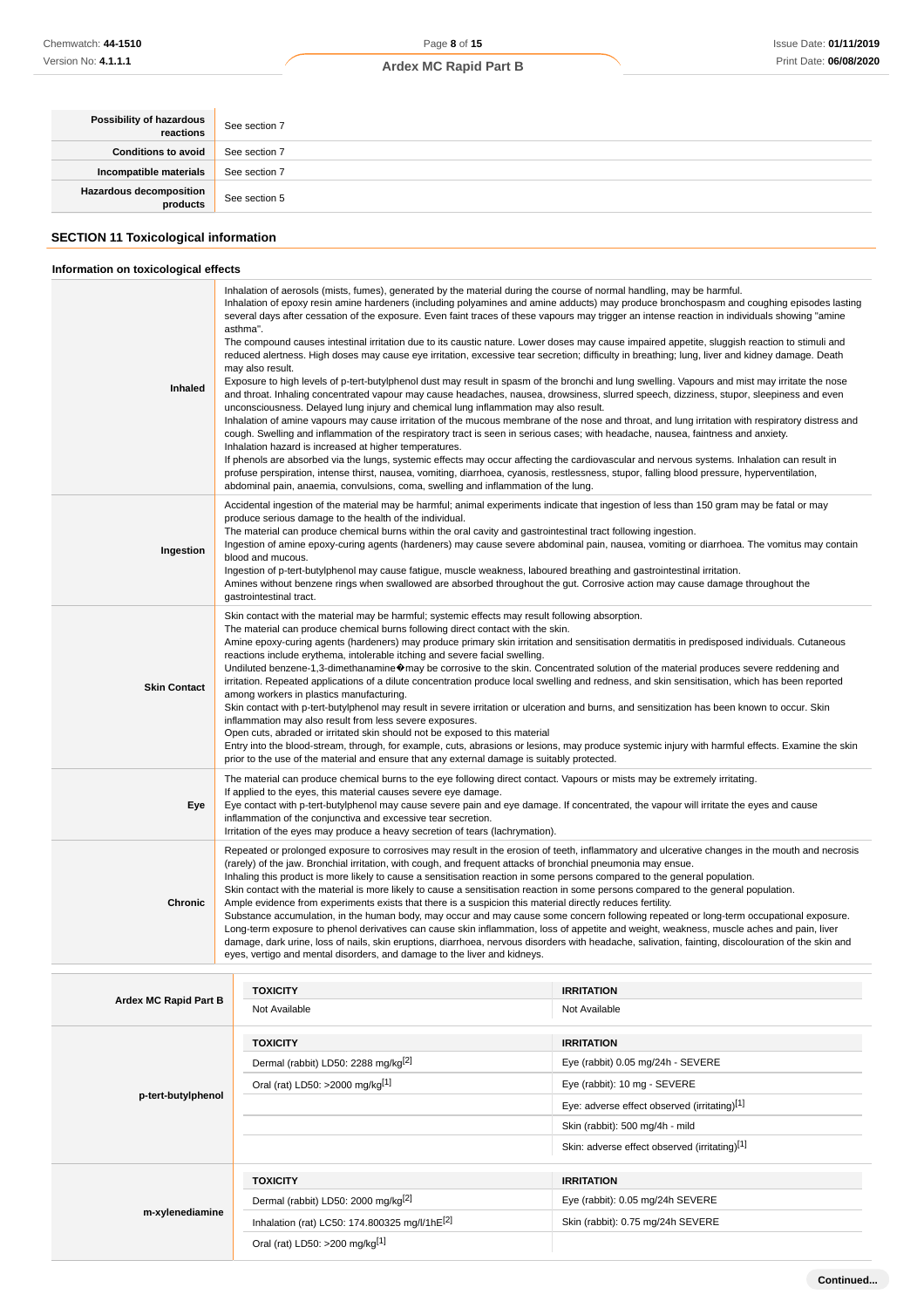### Page **8** of **15**

### **Ardex MC Rapid Part B**

| <b>Possibility of hazardous</b> | See section 7 |
|---------------------------------|---------------|
| Conditions to avoid             | See section 7 |
| Incompatible materials          | See section 7 |
| Hazardous decomposition         | See section 5 |
|                                 |               |

### **SECTION 11 Toxicological information**

### **Information on toxicological effects**

| Inhaled             | Inhalation of aerosols (mists, fumes), generated by the material during the course of normal handling, may be harmful.<br>Inhalation of epoxy resin amine hardeners (including polyamines and amine adducts) may produce bronchospasm and coughing episodes lasting<br>several days after cessation of the exposure. Even faint traces of these vapours may trigger an intense reaction in individuals showing "amine<br>asthma".<br>The compound causes intestinal irritation due to its caustic nature. Lower doses may cause impaired appetite, sluggish reaction to stimuli and<br>reduced alertness. High doses may cause eye irritation, excessive tear secretion; difficulty in breathing; lung, liver and kidney damage. Death<br>may also result.<br>Exposure to high levels of p-tert-butylphenol dust may result in spasm of the bronchi and lung swelling. Vapours and mist may irritate the nose<br>and throat. Inhaling concentrated vapour may cause headaches, nausea, drowsiness, slurred speech, dizziness, stupor, sleepiness and even<br>unconsciousness. Delayed lung injury and chemical lung inflammation may also result.<br>Inhalation of amine vapours may cause irritation of the mucous membrane of the nose and throat, and lung irritation with respiratory distress and<br>cough. Swelling and inflammation of the respiratory tract is seen in serious cases; with headache, nausea, faintness and anxiety.<br>Inhalation hazard is increased at higher temperatures.<br>If phenols are absorbed via the lungs, systemic effects may occur affecting the cardiovascular and nervous systems. Inhalation can result in<br>profuse perspiration, intense thirst, nausea, vomiting, diarrhoea, cyanosis, restlessness, stupor, falling blood pressure, hyperventilation,<br>abdominal pain, anaemia, convulsions, coma, swelling and inflammation of the lung. |
|---------------------|---------------------------------------------------------------------------------------------------------------------------------------------------------------------------------------------------------------------------------------------------------------------------------------------------------------------------------------------------------------------------------------------------------------------------------------------------------------------------------------------------------------------------------------------------------------------------------------------------------------------------------------------------------------------------------------------------------------------------------------------------------------------------------------------------------------------------------------------------------------------------------------------------------------------------------------------------------------------------------------------------------------------------------------------------------------------------------------------------------------------------------------------------------------------------------------------------------------------------------------------------------------------------------------------------------------------------------------------------------------------------------------------------------------------------------------------------------------------------------------------------------------------------------------------------------------------------------------------------------------------------------------------------------------------------------------------------------------------------------------------------------------------------------------------------------------------------------------------------------------------------------------------|
| Ingestion           | Accidental ingestion of the material may be harmful; animal experiments indicate that ingestion of less than 150 gram may be fatal or may<br>produce serious damage to the health of the individual.<br>The material can produce chemical burns within the oral cavity and gastrointestinal tract following ingestion.<br>Ingestion of amine epoxy-curing agents (hardeners) may cause severe abdominal pain, nausea, vomiting or diarrhoea. The vomitus may contain<br>blood and mucous.<br>Ingestion of p-tert-butylphenol may cause fatigue, muscle weakness, laboured breathing and gastrointestinal irritation.<br>Amines without benzene rings when swallowed are absorbed throughout the gut. Corrosive action may cause damage throughout the<br>gastrointestinal tract.                                                                                                                                                                                                                                                                                                                                                                                                                                                                                                                                                                                                                                                                                                                                                                                                                                                                                                                                                                                                                                                                                                            |
| <b>Skin Contact</b> | Skin contact with the material may be harmful; systemic effects may result following absorption.<br>The material can produce chemical burns following direct contact with the skin.<br>Amine epoxy-curing agents (hardeners) may produce primary skin irritation and sensitisation dermatitis in predisposed individuals. Cutaneous<br>reactions include erythema, intolerable itching and severe facial swelling.<br>Undiluted benzene-1,3-dimethanamine�may be corrosive to the skin. Concentrated solution of the material produces severe reddening and<br>irritation. Repeated applications of a dilute concentration produce local swelling and redness, and skin sensitisation, which has been reported<br>among workers in plastics manufacturing.<br>Skin contact with p-tert-butylphenol may result in severe irritation or ulceration and burns, and sensitization has been known to occur. Skin<br>inflammation may also result from less severe exposures.<br>Open cuts, abraded or irritated skin should not be exposed to this material<br>Entry into the blood-stream, through, for example, cuts, abrasions or lesions, may produce systemic injury with harmful effects. Examine the skin<br>prior to the use of the material and ensure that any external damage is suitably protected.                                                                                                                                                                                                                                                                                                                                                                                                                                                                                                                                                                                  |
| Eye                 | The material can produce chemical burns to the eye following direct contact. Vapours or mists may be extremely irritating.<br>If applied to the eyes, this material causes severe eye damage.<br>Eye contact with p-tert-butylphenol may cause severe pain and eye damage. If concentrated, the vapour will irritate the eyes and cause<br>inflammation of the conjunctiva and excessive tear secretion.<br>Irritation of the eyes may produce a heavy secretion of tears (lachrymation).                                                                                                                                                                                                                                                                                                                                                                                                                                                                                                                                                                                                                                                                                                                                                                                                                                                                                                                                                                                                                                                                                                                                                                                                                                                                                                                                                                                                   |
| Chronic             | Repeated or prolonged exposure to corrosives may result in the erosion of teeth, inflammatory and ulcerative changes in the mouth and necrosis<br>(rarely) of the jaw. Bronchial irritation, with cough, and frequent attacks of bronchial pneumonia may ensue.<br>Inhaling this product is more likely to cause a sensitisation reaction in some persons compared to the general population.<br>Skin contact with the material is more likely to cause a sensitisation reaction in some persons compared to the general population.<br>Ample evidence from experiments exists that there is a suspicion this material directly reduces fertility.<br>Substance accumulation, in the human body, may occur and may cause some concern following repeated or long-term occupational exposure.<br>Long-term exposure to phenol derivatives can cause skin inflammation, loss of appetite and weight, weakness, muscle aches and pain, liver<br>damage, dark urine, loss of nails, skin eruptions, diarrhoea, nervous disorders with headache, salivation, fainting, discolouration of the skin and<br>eyes, vertigo and mental disorders, and damage to the liver and kidneys.                                                                                                                                                                                                                                                                                                                                                                                                                                                                                                                                                                                                                                                                                                                |

| Ardex MC Rapid Part B | <b>TOXICITY</b>                                 | <b>IRRITATION</b>                             |
|-----------------------|-------------------------------------------------|-----------------------------------------------|
|                       | Not Available                                   | Not Available                                 |
|                       | <b>TOXICITY</b>                                 | <b>IRRITATION</b>                             |
|                       | Dermal (rabbit) LD50: 2288 mg/kg <sup>[2]</sup> | Eye (rabbit) 0.05 mg/24h - SEVERE             |
|                       | Oral (rat) LD50: >2000 mg/kg[1]                 | Eye (rabbit): 10 mg - SEVERE                  |
| p-tert-butylphenol    |                                                 | Eye: adverse effect observed (irritating)[1]  |
|                       |                                                 | Skin (rabbit): 500 mg/4h - mild               |
|                       |                                                 | Skin: adverse effect observed (irritating)[1] |
|                       | <b>TOXICITY</b>                                 | <b>IRRITATION</b>                             |
|                       | Dermal (rabbit) LD50: 2000 mg/kg <sup>[2]</sup> | Eye (rabbit): 0.05 mg/24h SEVERE              |
| m-xylenediamine       | Inhalation (rat) LC50: 174.800325 mg/l/1hE[2]   | Skin (rabbit): 0.75 mg/24h SEVERE             |
|                       | Oral (rat) LD50: >200 mg/kg <sup>[1]</sup>      |                                               |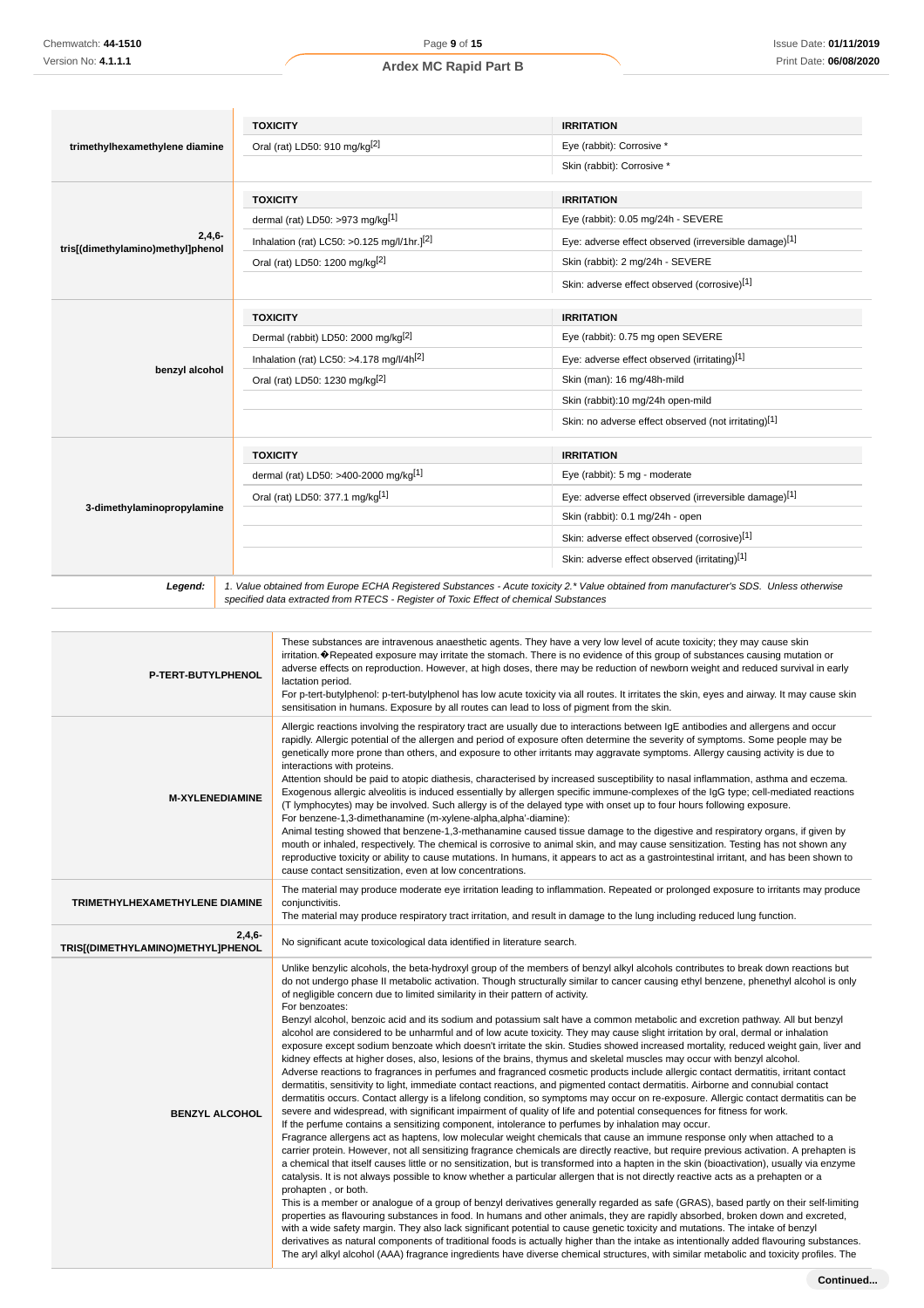|                                   | <b>TOXICITY</b>                                                                                                                        | <b>IRRITATION</b>                                                                                                                                                                                                                                                                                                                                                                                                                                                                                                                                                                                                                                                                                                                                                                                                                                                                                                                                                                                                                                                              |
|-----------------------------------|----------------------------------------------------------------------------------------------------------------------------------------|--------------------------------------------------------------------------------------------------------------------------------------------------------------------------------------------------------------------------------------------------------------------------------------------------------------------------------------------------------------------------------------------------------------------------------------------------------------------------------------------------------------------------------------------------------------------------------------------------------------------------------------------------------------------------------------------------------------------------------------------------------------------------------------------------------------------------------------------------------------------------------------------------------------------------------------------------------------------------------------------------------------------------------------------------------------------------------|
| trimethylhexamethylene diamine    | Oral (rat) LD50: 910 mg/kg <sup>[2]</sup>                                                                                              | Eye (rabbit): Corrosive *                                                                                                                                                                                                                                                                                                                                                                                                                                                                                                                                                                                                                                                                                                                                                                                                                                                                                                                                                                                                                                                      |
|                                   |                                                                                                                                        | Skin (rabbit): Corrosive *                                                                                                                                                                                                                                                                                                                                                                                                                                                                                                                                                                                                                                                                                                                                                                                                                                                                                                                                                                                                                                                     |
|                                   | <b>TOXICITY</b>                                                                                                                        | <b>IRRITATION</b>                                                                                                                                                                                                                                                                                                                                                                                                                                                                                                                                                                                                                                                                                                                                                                                                                                                                                                                                                                                                                                                              |
|                                   | dermal (rat) LD50: >973 mg/kg[1]                                                                                                       | Eye (rabbit): 0.05 mg/24h - SEVERE                                                                                                                                                                                                                                                                                                                                                                                                                                                                                                                                                                                                                                                                                                                                                                                                                                                                                                                                                                                                                                             |
| 2,4,6                             | Inhalation (rat) LC50: > 0.125 mg/l/1hr.] <sup>[2]</sup>                                                                               | Eye: adverse effect observed (irreversible damage)[1]                                                                                                                                                                                                                                                                                                                                                                                                                                                                                                                                                                                                                                                                                                                                                                                                                                                                                                                                                                                                                          |
| tris[(dimethylamino)methyl]phenol | Oral (rat) LD50: 1200 mg/kg <sup>[2]</sup>                                                                                             | Skin (rabbit): 2 mg/24h - SEVERE                                                                                                                                                                                                                                                                                                                                                                                                                                                                                                                                                                                                                                                                                                                                                                                                                                                                                                                                                                                                                                               |
|                                   |                                                                                                                                        | Skin: adverse effect observed (corrosive)[1]                                                                                                                                                                                                                                                                                                                                                                                                                                                                                                                                                                                                                                                                                                                                                                                                                                                                                                                                                                                                                                   |
|                                   | <b>TOXICITY</b>                                                                                                                        | <b>IRRITATION</b>                                                                                                                                                                                                                                                                                                                                                                                                                                                                                                                                                                                                                                                                                                                                                                                                                                                                                                                                                                                                                                                              |
|                                   | Dermal (rabbit) LD50: 2000 mg/kg <sup>[2]</sup>                                                                                        | Eye (rabbit): 0.75 mg open SEVERE                                                                                                                                                                                                                                                                                                                                                                                                                                                                                                                                                                                                                                                                                                                                                                                                                                                                                                                                                                                                                                              |
|                                   | Inhalation (rat) LC50: >4.178 mg/l/4h <sup>[2]</sup>                                                                                   | Eye: adverse effect observed (irritating)[1]                                                                                                                                                                                                                                                                                                                                                                                                                                                                                                                                                                                                                                                                                                                                                                                                                                                                                                                                                                                                                                   |
| benzyl alcohol                    | Oral (rat) LD50: 1230 mg/kg <sup>[2]</sup>                                                                                             | Skin (man): 16 mg/48h-mild                                                                                                                                                                                                                                                                                                                                                                                                                                                                                                                                                                                                                                                                                                                                                                                                                                                                                                                                                                                                                                                     |
|                                   |                                                                                                                                        | Skin (rabbit):10 mg/24h open-mild                                                                                                                                                                                                                                                                                                                                                                                                                                                                                                                                                                                                                                                                                                                                                                                                                                                                                                                                                                                                                                              |
|                                   |                                                                                                                                        | Skin: no adverse effect observed (not irritating)[1]                                                                                                                                                                                                                                                                                                                                                                                                                                                                                                                                                                                                                                                                                                                                                                                                                                                                                                                                                                                                                           |
|                                   | <b>TOXICITY</b>                                                                                                                        | <b>IRRITATION</b>                                                                                                                                                                                                                                                                                                                                                                                                                                                                                                                                                                                                                                                                                                                                                                                                                                                                                                                                                                                                                                                              |
|                                   | dermal (rat) LD50: >400-2000 mg/kg <sup>[1]</sup>                                                                                      | Eye (rabbit): 5 mg - moderate                                                                                                                                                                                                                                                                                                                                                                                                                                                                                                                                                                                                                                                                                                                                                                                                                                                                                                                                                                                                                                                  |
|                                   | Oral (rat) LD50: 377.1 mg/kg[1]                                                                                                        | Eye: adverse effect observed (irreversible damage)[1]                                                                                                                                                                                                                                                                                                                                                                                                                                                                                                                                                                                                                                                                                                                                                                                                                                                                                                                                                                                                                          |
| 3-dimethylaminopropylamine        |                                                                                                                                        | Skin (rabbit): 0.1 mg/24h - open                                                                                                                                                                                                                                                                                                                                                                                                                                                                                                                                                                                                                                                                                                                                                                                                                                                                                                                                                                                                                                               |
|                                   |                                                                                                                                        | Skin: adverse effect observed (corrosive)[1]                                                                                                                                                                                                                                                                                                                                                                                                                                                                                                                                                                                                                                                                                                                                                                                                                                                                                                                                                                                                                                   |
|                                   |                                                                                                                                        | Skin: adverse effect observed (irritating)[1]                                                                                                                                                                                                                                                                                                                                                                                                                                                                                                                                                                                                                                                                                                                                                                                                                                                                                                                                                                                                                                  |
| Legend:                           | 1. Value obtained from Europe ECHA Registered Substances - Acute toxicity 2.* Value obtained from manufacturer's SDS. Unless otherwise |                                                                                                                                                                                                                                                                                                                                                                                                                                                                                                                                                                                                                                                                                                                                                                                                                                                                                                                                                                                                                                                                                |
|                                   | specified data extracted from RTECS - Register of Toxic Effect of chemical Substances                                                  |                                                                                                                                                                                                                                                                                                                                                                                                                                                                                                                                                                                                                                                                                                                                                                                                                                                                                                                                                                                                                                                                                |
| P-TERT-BUTYLPHENOL                | lactation period.<br>sensitisation in humans. Exposure by all routes can lead to loss of pigment from the skin.                        | These substances are intravenous anaesthetic agents. They have a very low level of acute toxicity; they may cause skin<br>irritation. ♦ Repeated exposure may irritate the stomach. There is no evidence of this group of substances causing mutation or<br>adverse effects on reproduction. However, at high doses, there may be reduction of newborn weight and reduced survival in early<br>For p-tert-butylphenol: p-tert-butylphenol has low acute toxicity via all routes. It irritates the skin, eyes and airway. It may cause skin                                                                                                                                                                                                                                                                                                                                                                                                                                                                                                                                     |
| <b>M-XYLENEDIAMINE</b>            | interactions with proteins.<br>For benzene-1,3-dimethanamine (m-xylene-alpha,alpha'-diamine):                                          | Allergic reactions involving the respiratory tract are usually due to interactions between IgE antibodies and allergens and occur<br>rapidly. Allergic potential of the allergen and period of exposure often determine the severity of symptoms. Some people may be<br>genetically more prone than others, and exposure to other irritants may aggravate symptoms. Allergy causing activity is due to<br>Attention should be paid to atopic diathesis, characterised by increased susceptibility to nasal inflammation, asthma and eczema.<br>Exogenous allergic alveolitis is induced essentially by allergen specific immune-complexes of the IgG type; cell-mediated reactions<br>(T lymphocytes) may be involved. Such allergy is of the delayed type with onset up to four hours following exposure.<br>Animal testing showed that benzene-1,3-methanamine caused tissue damage to the digestive and respiratory organs, if given by<br>mouth or inhaled, respectively. The chemical is corrosive to animal skin, and may cause sensitization. Testing has not shown any |

| <b>M-XYLENEDIAMINE</b>                        | $n$ actions with proteins.<br>Attention should be paid to atopic diathesis, characterised by increased susceptibility to nasal inflammation, asthma and eczema.<br>Exogenous allergic alveolitis is induced essentially by allergen specific immune-complexes of the IgG type; cell-mediated reactions<br>(T lymphocytes) may be involved. Such allergy is of the delayed type with onset up to four hours following exposure.<br>For benzene-1,3-dimethanamine (m-xylene-alpha,alpha'-diamine):<br>Animal testing showed that benzene-1,3-methanamine caused tissue damage to the digestive and respiratory organs, if given by<br>mouth or inhaled, respectively. The chemical is corrosive to animal skin, and may cause sensitization. Testing has not shown any<br>reproductive toxicity or ability to cause mutations. In humans, it appears to act as a gastrointestinal irritant, and has been shown to<br>cause contact sensitization, even at low concentrations.                                                                                                                                                                                                                                                                                                                                                                                                                                                                                                                                                                                                                                                                                                                                                                                                                                                                                                                                                                                                                                                                                                                                                                                                                                                                                                                                                                                                                                                                                                                                                                                                                                                                                                                                                                                                                                                                          |
|-----------------------------------------------|------------------------------------------------------------------------------------------------------------------------------------------------------------------------------------------------------------------------------------------------------------------------------------------------------------------------------------------------------------------------------------------------------------------------------------------------------------------------------------------------------------------------------------------------------------------------------------------------------------------------------------------------------------------------------------------------------------------------------------------------------------------------------------------------------------------------------------------------------------------------------------------------------------------------------------------------------------------------------------------------------------------------------------------------------------------------------------------------------------------------------------------------------------------------------------------------------------------------------------------------------------------------------------------------------------------------------------------------------------------------------------------------------------------------------------------------------------------------------------------------------------------------------------------------------------------------------------------------------------------------------------------------------------------------------------------------------------------------------------------------------------------------------------------------------------------------------------------------------------------------------------------------------------------------------------------------------------------------------------------------------------------------------------------------------------------------------------------------------------------------------------------------------------------------------------------------------------------------------------------------------------------------------------------------------------------------------------------------------------------------------------------------------------------------------------------------------------------------------------------------------------------------------------------------------------------------------------------------------------------------------------------------------------------------------------------------------------------------------------------------------------------------------------------------------------------------------------------------------|
| TRIMETHYLHEXAMETHYLENE DIAMINE                | The material may produce moderate eye irritation leading to inflammation. Repeated or prolonged exposure to irritants may produce<br>conjunctivitis.<br>The material may produce respiratory tract irritation, and result in damage to the lung including reduced lung function.                                                                                                                                                                                                                                                                                                                                                                                                                                                                                                                                                                                                                                                                                                                                                                                                                                                                                                                                                                                                                                                                                                                                                                                                                                                                                                                                                                                                                                                                                                                                                                                                                                                                                                                                                                                                                                                                                                                                                                                                                                                                                                                                                                                                                                                                                                                                                                                                                                                                                                                                                                     |
| $2,4,6-$<br>TRIS[(DIMETHYLAMINO)METHYL]PHENOL | No significant acute toxicological data identified in literature search.                                                                                                                                                                                                                                                                                                                                                                                                                                                                                                                                                                                                                                                                                                                                                                                                                                                                                                                                                                                                                                                                                                                                                                                                                                                                                                                                                                                                                                                                                                                                                                                                                                                                                                                                                                                                                                                                                                                                                                                                                                                                                                                                                                                                                                                                                                                                                                                                                                                                                                                                                                                                                                                                                                                                                                             |
| <b>BENZYL ALCOHOL</b>                         | Unlike benzylic alcohols, the beta-hydroxyl group of the members of benzyl alkyl alcohols contributes to break down reactions but<br>do not undergo phase II metabolic activation. Though structurally similar to cancer causing ethyl benzene, phenethyl alcohol is only<br>of negligible concern due to limited similarity in their pattern of activity.<br>For benzoates:<br>Benzyl alcohol, benzoic acid and its sodium and potassium salt have a common metabolic and excretion pathway. All but benzyl<br>alcohol are considered to be unharmful and of low acute toxicity. They may cause slight irritation by oral, dermal or inhalation<br>exposure except sodium benzoate which doesn't irritate the skin. Studies showed increased mortality, reduced weight gain, liver and<br>kidney effects at higher doses, also, lesions of the brains, thymus and skeletal muscles may occur with benzyl alcohol.<br>Adverse reactions to fragrances in perfumes and fragranced cosmetic products include allergic contact dermatitis, irritant contact<br>dermatitis, sensitivity to light, immediate contact reactions, and pigmented contact dermatitis. Airborne and connubial contact<br>dermatitis occurs. Contact allergy is a lifelong condition, so symptoms may occur on re-exposure. Allergic contact dermatitis can be<br>severe and widespread, with significant impairment of quality of life and potential consequences for fitness for work.<br>If the perfume contains a sensitizing component, intolerance to perfumes by inhalation may occur.<br>Fragrance allergens act as haptens, low molecular weight chemicals that cause an immune response only when attached to a<br>carrier protein. However, not all sensitizing fragrance chemicals are directly reactive, but require previous activation. A prehapten is<br>a chemical that itself causes little or no sensitization, but is transformed into a hapten in the skin (bioactivation), usually via enzyme<br>catalysis. It is not always possible to know whether a particular allergen that is not directly reactive acts as a prehapten or a<br>prohapten, or both.<br>This is a member or analogue of a group of benzyl derivatives generally regarded as safe (GRAS), based partly on their self-limiting<br>properties as flavouring substances in food. In humans and other animals, they are rapidly absorbed, broken down and excreted,<br>with a wide safety margin. They also lack significant potential to cause genetic toxicity and mutations. The intake of benzyl<br>derivatives as natural components of traditional foods is actually higher than the intake as intentionally added flavouring substances.<br>The aryl alkyl alcohol (AAA) fragrance ingredients have diverse chemical structures, with similar metabolic and toxicity profiles. The |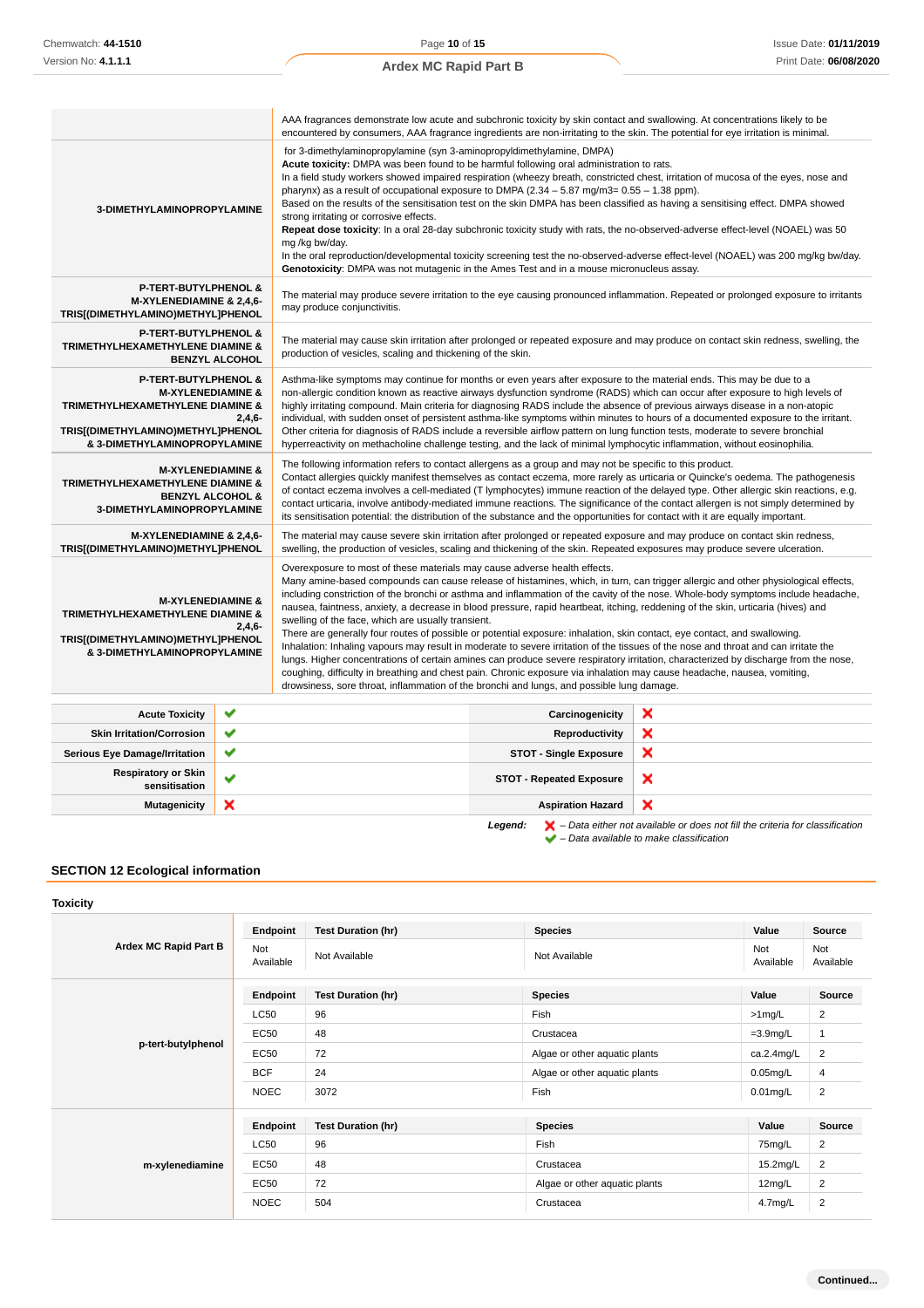|                                                                                                                                                                                                 | AAA fragrances demonstrate low acute and subchronic toxicity by skin contact and swallowing. At concentrations likely to be<br>encountered by consumers, AAA fragrance ingredients are non-irritating to the skin. The potential for eye irritation is minimal.                                                                                                                                                                                                                                                                                                                                                                                                                                                                                                                                                                                                                                                                                                                                                                                                                                                                                                                  |  |
|-------------------------------------------------------------------------------------------------------------------------------------------------------------------------------------------------|----------------------------------------------------------------------------------------------------------------------------------------------------------------------------------------------------------------------------------------------------------------------------------------------------------------------------------------------------------------------------------------------------------------------------------------------------------------------------------------------------------------------------------------------------------------------------------------------------------------------------------------------------------------------------------------------------------------------------------------------------------------------------------------------------------------------------------------------------------------------------------------------------------------------------------------------------------------------------------------------------------------------------------------------------------------------------------------------------------------------------------------------------------------------------------|--|
| 3-DIMETHYLAMINOPROPYLAMINE                                                                                                                                                                      | for 3-dimethylaminopropylamine (syn 3-aminopropyldimethylamine, DMPA)<br>Acute toxicity: DMPA was been found to be harmful following oral administration to rats.<br>In a field study workers showed impaired respiration (wheezy breath, constricted chest, irritation of mucosa of the eyes, nose and<br>pharynx) as a result of occupational exposure to DMPA $(2.34 - 5.87 \text{ mg/m}3 = 0.55 - 1.38 \text{ ppm})$ .<br>Based on the results of the sensitisation test on the skin DMPA has been classified as having a sensitising effect. DMPA showed<br>strong irritating or corrosive effects.<br>Repeat dose toxicity: In a oral 28-day subchronic toxicity study with rats, the no-observed-adverse effect-level (NOAEL) was 50<br>mg/kg bw/day.<br>In the oral reproduction/developmental toxicity screening test the no-observed-adverse effect-level (NOAEL) was 200 mg/kg bw/day.<br>Genotoxicity: DMPA was not mutagenic in the Ames Test and in a mouse micronucleus assay.                                                                                                                                                                                    |  |
| <b>P-TERT-BUTYLPHENOL &amp;</b><br>M-XYLENEDIAMINE & 2,4,6-<br>TRIS[(DIMETHYLAMINO)METHYL]PHENOL                                                                                                | The material may produce severe irritation to the eye causing pronounced inflammation. Repeated or prolonged exposure to irritants<br>may produce conjunctivitis.                                                                                                                                                                                                                                                                                                                                                                                                                                                                                                                                                                                                                                                                                                                                                                                                                                                                                                                                                                                                                |  |
| P-TERT-BUTYLPHENOL &<br><b>TRIMETHYLHEXAMETHYLENE DIAMINE &amp;</b><br><b>BENZYL ALCOHOL</b>                                                                                                    | The material may cause skin irritation after prolonged or repeated exposure and may produce on contact skin redness, swelling, the<br>production of vesicles, scaling and thickening of the skin.                                                                                                                                                                                                                                                                                                                                                                                                                                                                                                                                                                                                                                                                                                                                                                                                                                                                                                                                                                                |  |
| <b>P-TERT-BUTYLPHENOL &amp;</b><br><b>M-XYLENEDIAMINE &amp;</b><br><b>TRIMETHYLHEXAMETHYLENE DIAMINE &amp;</b><br>$2,4,6-$<br>TRIS[(DIMETHYLAMINO)METHYL]PHENOL<br>& 3-DIMETHYLAMINOPROPYLAMINE | Asthma-like symptoms may continue for months or even years after exposure to the material ends. This may be due to a<br>non-allergic condition known as reactive airways dysfunction syndrome (RADS) which can occur after exposure to high levels of<br>highly irritating compound. Main criteria for diagnosing RADS include the absence of previous airways disease in a non-atopic<br>individual, with sudden onset of persistent asthma-like symptoms within minutes to hours of a documented exposure to the irritant.<br>Other criteria for diagnosis of RADS include a reversible airflow pattern on lung function tests, moderate to severe bronchial<br>hyperreactivity on methacholine challenge testing, and the lack of minimal lymphocytic inflammation, without eosinophilia.                                                                                                                                                                                                                                                                                                                                                                                     |  |
| <b>M-XYLENEDIAMINE &amp;</b><br>TRIMETHYLHEXAMETHYLENE DIAMINE &<br><b>BENZYL ALCOHOL &amp;</b><br>3-DIMETHYLAMINOPROPYLAMINE                                                                   | The following information refers to contact allergens as a group and may not be specific to this product.<br>Contact allergies quickly manifest themselves as contact eczema, more rarely as urticaria or Quincke's oedema. The pathogenesis<br>of contact eczema involves a cell-mediated (T lymphocytes) immune reaction of the delayed type. Other allergic skin reactions, e.g.<br>contact urticaria, involve antibody-mediated immune reactions. The significance of the contact allergen is not simply determined by<br>its sensitisation potential: the distribution of the substance and the opportunities for contact with it are equally important.                                                                                                                                                                                                                                                                                                                                                                                                                                                                                                                    |  |
| M-XYLENEDIAMINE & 2,4,6-<br>TRIS[(DIMETHYLAMINO)METHYL]PHENOL                                                                                                                                   | The material may cause severe skin irritation after prolonged or repeated exposure and may produce on contact skin redness,<br>swelling, the production of vesicles, scaling and thickening of the skin. Repeated exposures may produce severe ulceration.                                                                                                                                                                                                                                                                                                                                                                                                                                                                                                                                                                                                                                                                                                                                                                                                                                                                                                                       |  |
| <b>M-XYLENEDIAMINE &amp;</b><br>TRIMETHYLHEXAMETHYLENE DIAMINE &<br>$2,4,6-$<br>TRIS[(DIMETHYLAMINO)METHYL]PHENOL<br>& 3-DIMETHYLAMINOPROPYLAMINE                                               | Overexposure to most of these materials may cause adverse health effects.<br>Many amine-based compounds can cause release of histamines, which, in turn, can trigger allergic and other physiological effects,<br>including constriction of the bronchi or asthma and inflammation of the cavity of the nose. Whole-body symptoms include headache,<br>nausea, faintness, anxiety, a decrease in blood pressure, rapid heartbeat, itching, reddening of the skin, urticaria (hives) and<br>swelling of the face, which are usually transient.<br>There are generally four routes of possible or potential exposure: inhalation, skin contact, eye contact, and swallowing.<br>Inhalation: Inhaling vapours may result in moderate to severe irritation of the tissues of the nose and throat and can irritate the<br>lungs. Higher concentrations of certain amines can produce severe respiratory irritation, characterized by discharge from the nose,<br>coughing, difficulty in breathing and chest pain. Chronic exposure via inhalation may cause headache, nausea, vomiting,<br>drowsiness, sore throat, inflammation of the bronchi and lungs, and possible lung damage. |  |
| <b>Acute Toxicity</b>                                                                                                                                                                           | ×<br>Carcinogenicity                                                                                                                                                                                                                                                                                                                                                                                                                                                                                                                                                                                                                                                                                                                                                                                                                                                                                                                                                                                                                                                                                                                                                             |  |

| <b>Acute Toxicity</b>                       | $\checkmark$ | Carcinogenicity                 | ×                                                                                                  |
|---------------------------------------------|--------------|---------------------------------|----------------------------------------------------------------------------------------------------|
| <b>Skin Irritation/Corrosion</b>            | $\checkmark$ | Reproductivity                  | ×                                                                                                  |
| <b>Serious Eye Damage/Irritation</b>        | $\checkmark$ | <b>STOT - Single Exposure</b>   | ×                                                                                                  |
| <b>Respiratory or Skin</b><br>sensitisation |              | <b>STOT - Repeated Exposure</b> | ×                                                                                                  |
| <b>Mutagenicity</b>                         | ×            | <b>Aspiration Hazard</b>        | ×                                                                                                  |
|                                             |              | Legend:                         | $\blacktriangleright$ - Data either not available or does not fill the criteria for classification |

– Data available to make classification

### **SECTION 12 Ecological information**

### **Toxicity**

| Ardex MC Rapid Part B | Endpoint         | <b>Test Duration (hr)</b> | <b>Species</b>                | Value               | <b>Source</b>    |
|-----------------------|------------------|---------------------------|-------------------------------|---------------------|------------------|
|                       | Not<br>Available | Not Available             | Not Available                 | Not<br>Available    | Not<br>Available |
|                       | Endpoint         | <b>Test Duration (hr)</b> | <b>Species</b>                | Value               | Source           |
|                       | <b>LC50</b>      | 96                        | Fish                          | >1mg/L              | $\overline{2}$   |
|                       | EC50             | 48                        | Crustacea                     | $=3.9$ mg/L         | 1                |
| p-tert-butylphenol    | EC50             | 72                        | Algae or other aquatic plants | ca.2.4mg/L          | $\overline{c}$   |
|                       | <b>BCF</b>       | 24                        | Algae or other aquatic plants | $0.05$ mg/L         | 4                |
|                       | <b>NOEC</b>      | 3072                      | Fish                          | $0.01$ mg/L         | $\overline{2}$   |
|                       | Endpoint         | <b>Test Duration (hr)</b> | <b>Species</b>                | Value               | Source           |
|                       | <b>LC50</b>      | 96                        | Fish                          | 75mg/L              | $\overline{2}$   |
| m-xylenediamine       | <b>EC50</b>      | 48                        | Crustacea                     | 15.2mg/L            | $\overline{2}$   |
|                       | EC50             | 72                        | Algae or other aquatic plants | 12mg/L              | 2                |
|                       | <b>NOEC</b>      | 504                       | Crustacea                     | 4.7 <sub>mg/L</sub> | $\overline{2}$   |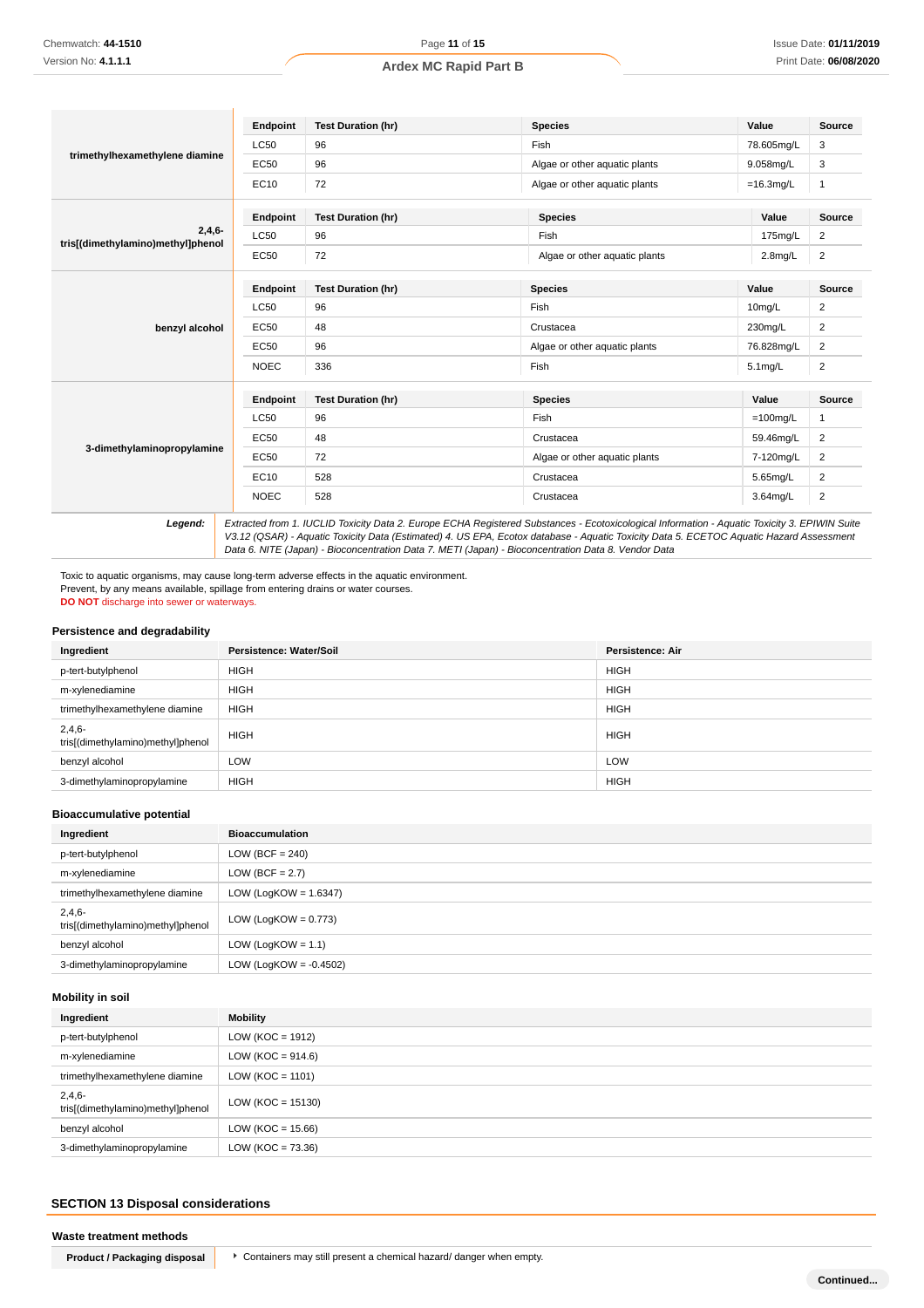|                                               | Endpoint    | <b>Test Duration (hr)</b> | <b>Species</b>                | Value        | <b>Source</b>  |
|-----------------------------------------------|-------------|---------------------------|-------------------------------|--------------|----------------|
|                                               | <b>LC50</b> | 96                        | Fish                          | 78.605mg/L   | 3              |
| trimethylhexamethylene diamine                | EC50        | 96                        | Algae or other aquatic plants | 9.058mg/L    | 3              |
|                                               | EC10        | 72                        | Algae or other aquatic plants | $=16.3$ mg/L | $\mathbf{1}$   |
|                                               | Endpoint    | <b>Test Duration (hr)</b> | <b>Species</b>                | Value        | Source         |
| $2,4,6-$<br>tris[(dimethylamino)methyl]phenol | <b>LC50</b> | 96                        | Fish                          | 175mg/L      | $\overline{c}$ |
|                                               | <b>EC50</b> | 72                        | Algae or other aquatic plants | $2.8$ mg/L   | $\overline{2}$ |
|                                               | Endpoint    | <b>Test Duration (hr)</b> | <b>Species</b>                | Value        | <b>Source</b>  |
|                                               | <b>LC50</b> | 96                        | Fish                          | 10mg/L       | 2              |
| benzyl alcohol                                | <b>EC50</b> | 48                        | Crustacea                     | 230mg/L      | $\overline{c}$ |
|                                               | <b>EC50</b> | 96                        | Algae or other aquatic plants | 76.828mg/L   | $\overline{2}$ |
|                                               | <b>NOEC</b> | 336                       | Fish                          | 5.1mg/L      | $\overline{c}$ |
|                                               | Endpoint    | <b>Test Duration (hr)</b> | <b>Species</b>                | Value        | <b>Source</b>  |
|                                               | <b>LC50</b> | 96                        | Fish                          | $=100$ mg/L  | 1              |
|                                               | <b>EC50</b> | 48                        | Crustacea                     | 59.46mg/L    | $\overline{c}$ |
| 3-dimethylaminopropylamine                    | <b>EC50</b> | 72                        | Algae or other aquatic plants | 7-120mg/L    | $\overline{2}$ |
|                                               | EC10        | 528                       | Crustacea                     | 5.65mg/L     | 2              |
|                                               | <b>NOEC</b> | 528                       | Crustacea                     | 3.64mg/L     | $\overline{c}$ |

**Legend:** Extracted from 1. IUCLID Toxicity Data 2. Europe ECHA Registered Substances - Ecotoxicological Information - Aquatic Toxicity 3. EPIWIN Suite V3.12 (QSAR) - Aquatic Toxicity Data (Estimated) 4. US EPA, Ecotox database - Aquatic Toxicity Data 5. ECETOC Aquatic Hazard Assessment Data 6. NITE (Japan) - Bioconcentration Data 7. METI (Japan) - Bioconcentration Data 8. Vendor Data

Toxic to aquatic organisms, may cause long-term adverse effects in the aquatic environment. Prevent, by any means available, spillage from entering drains or water courses. **DO NOT** discharge into sewer or waterways.

#### **Persistence and degradability**

| Ingredient                                    | Persistence: Water/Soil | <b>Persistence: Air</b> |
|-----------------------------------------------|-------------------------|-------------------------|
| p-tert-butylphenol                            | <b>HIGH</b>             | <b>HIGH</b>             |
| m-xylenediamine                               | <b>HIGH</b>             | <b>HIGH</b>             |
| trimethylhexamethylene diamine                | <b>HIGH</b>             | <b>HIGH</b>             |
| $2,4,6-$<br>tris[(dimethylamino)methyl]phenol | <b>HIGH</b>             | <b>HIGH</b>             |
| benzyl alcohol                                | LOW                     | LOW                     |
| 3-dimethylaminopropylamine                    | <b>HIGH</b>             | <b>HIGH</b>             |

#### **Bioaccumulative potential**

| Ingredient                                    | <b>Bioaccumulation</b>    |
|-----------------------------------------------|---------------------------|
| p-tert-butylphenol                            | $LOW (BCF = 240)$         |
| m-xylenediamine                               | LOW (BCF = $2.7$ )        |
| trimethylhexamethylene diamine                | LOW (LogKOW = $1.6347$ )  |
| $2,4,6-$<br>tris[(dimethylamino)methyl]phenol | LOW (LogKOW = $0.773$ )   |
| benzyl alcohol                                | LOW (LogKOW = $1.1$ )     |
| 3-dimethylaminopropylamine                    | LOW (LogKOW = $-0.4502$ ) |

#### **Mobility in soil**

| Ingredient                                    | Mobility              |
|-----------------------------------------------|-----------------------|
| p-tert-butylphenol                            | $LOW (KOC = 1912)$    |
| m-xylenediamine                               | LOW ( $KOC = 914.6$ ) |
| trimethylhexamethylene diamine                | $LOW (KOC = 1101)$    |
| $2,4,6-$<br>tris[(dimethylamino)methyl]phenol | LOW ( $KOC = 15130$ ) |
| benzyl alcohol                                | $LOW (KOC = 15.66)$   |
| 3-dimethylaminopropylamine                    | $LOW (KOC = 73.36)$   |

### **SECTION 13 Disposal considerations**

#### **Waste treatment methods**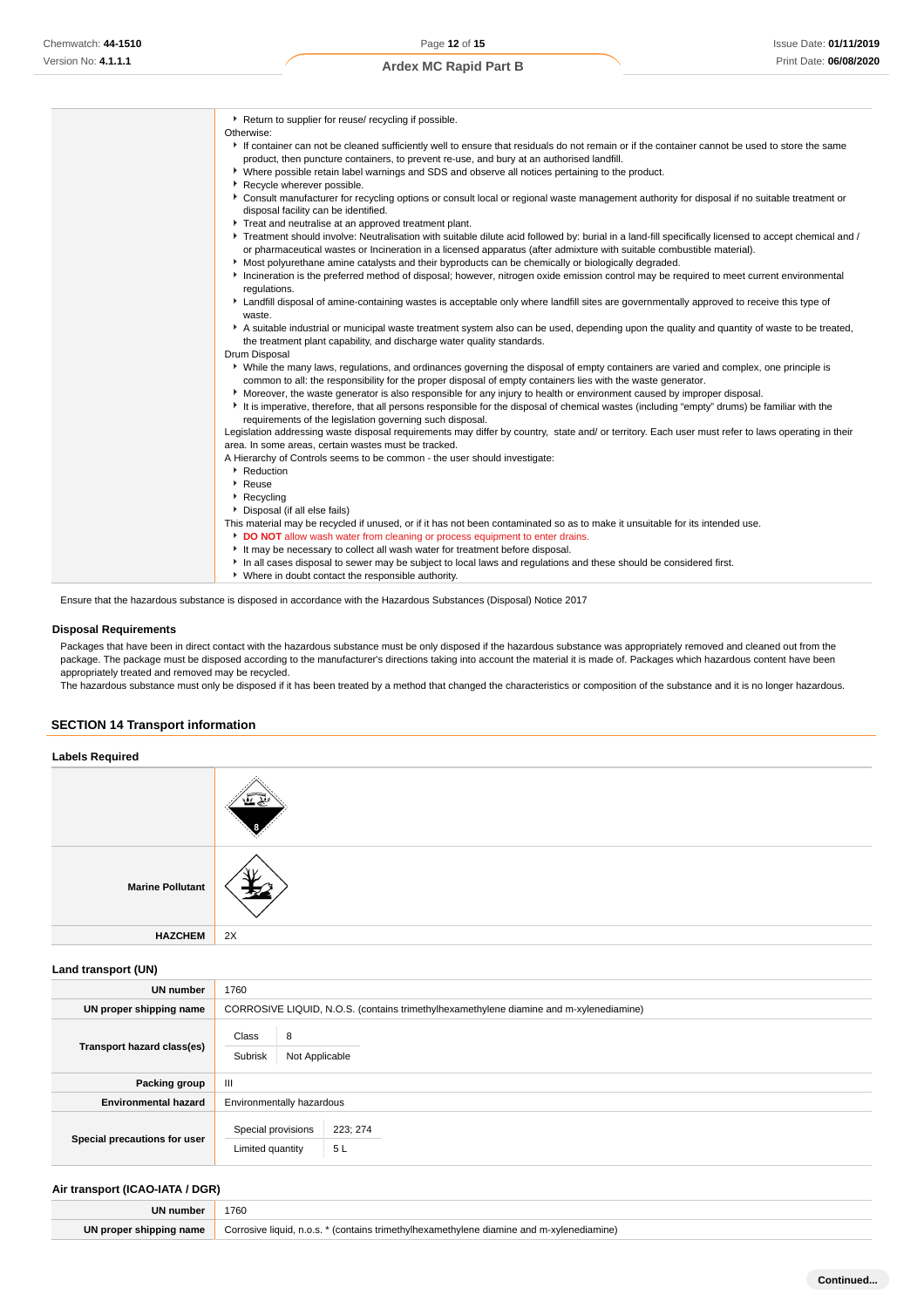| Return to supplier for reuse/ recycling if possible.                                                                                                                                                                                                   |
|--------------------------------------------------------------------------------------------------------------------------------------------------------------------------------------------------------------------------------------------------------|
| Otherwise:                                                                                                                                                                                                                                             |
| If container can not be cleaned sufficiently well to ensure that residuals do not remain or if the container cannot be used to store the same                                                                                                          |
| product, then puncture containers, to prevent re-use, and bury at an authorised landfill.                                                                                                                                                              |
| ▶ Where possible retain label warnings and SDS and observe all notices pertaining to the product.                                                                                                                                                      |
| Recycle wherever possible.                                                                                                                                                                                                                             |
| Consult manufacturer for recycling options or consult local or regional waste management authority for disposal if no suitable treatment or<br>disposal facility can be identified.                                                                    |
| Treat and neutralise at an approved treatment plant.                                                                                                                                                                                                   |
| ▶ Treatment should involve: Neutralisation with suitable dilute acid followed by: burial in a land-fill specifically licensed to accept chemical and /                                                                                                 |
| or pharmaceutical wastes or Incineration in a licensed apparatus (after admixture with suitable combustible material).                                                                                                                                 |
| Most polyurethane amine catalysts and their byproducts can be chemically or biologically degraded.                                                                                                                                                     |
| Incineration is the preferred method of disposal; however, nitrogen oxide emission control may be required to meet current environmental                                                                                                               |
| regulations.                                                                                                                                                                                                                                           |
| E Landfill disposal of amine-containing wastes is acceptable only where landfill sites are governmentally approved to receive this type of<br>waste.                                                                                                   |
| A suitable industrial or municipal waste treatment system also can be used, depending upon the quality and quantity of waste to be treated,<br>the treatment plant capability, and discharge water quality standards.                                  |
| Drum Disposal                                                                                                                                                                                                                                          |
| • While the many laws, regulations, and ordinances governing the disposal of empty containers are varied and complex, one principle is<br>common to all: the responsibility for the proper disposal of empty containers lies with the waste generator. |
| Moreover, the waste generator is also responsible for any injury to health or environment caused by improper disposal.                                                                                                                                 |
| It is imperative, therefore, that all persons responsible for the disposal of chemical wastes (including "empty" drums) be familiar with the<br>requirements of the legislation governing such disposal.                                               |
| Legislation addressing waste disposal requirements may differ by country, state and/ or territory. Each user must refer to laws operating in their                                                                                                     |
| area. In some areas, certain wastes must be tracked.                                                                                                                                                                                                   |
| A Hierarchy of Controls seems to be common - the user should investigate:                                                                                                                                                                              |
| Reduction                                                                                                                                                                                                                                              |
| $\cdot$ Reuse                                                                                                                                                                                                                                          |
| ▶ Recycling                                                                                                                                                                                                                                            |
| Disposal (if all else fails)                                                                                                                                                                                                                           |
| This material may be recycled if unused, or if it has not been contaminated so as to make it unsuitable for its intended use.                                                                                                                          |
| DO NOT allow wash water from cleaning or process equipment to enter drains.                                                                                                                                                                            |
| It may be necessary to collect all wash water for treatment before disposal.                                                                                                                                                                           |
| In all cases disposal to sewer may be subject to local laws and requlations and these should be considered first.                                                                                                                                      |
| • Where in doubt contact the responsible authority.                                                                                                                                                                                                    |
| Ensure that the hazardous substance is disposed in accordance with the Hazardous Substances (Disposal) Notice 2017                                                                                                                                     |

### **Disposal Requirements**

Packages that have been in direct contact with the hazardous substance must be only disposed if the hazardous substance was appropriately removed and cleaned out from the package. The package must be disposed according to the manufacturer's directions taking into account the material it is made of. Packages which hazardous content have been appropriately treated and removed may be recycled.

The hazardous substance must only be disposed if it has been treated by a method that changed the characteristics or composition of the substance and it is no longer hazardous.

### **SECTION 14 Transport information**

**Labels Required Marine Pollutant HAZCHEM** 2X

#### **Land transport (UN)**

| <b>UN number</b>             | 1760                                                                                   |  |  |
|------------------------------|----------------------------------------------------------------------------------------|--|--|
| UN proper shipping name      | CORROSIVE LIQUID, N.O.S. (contains trimethylhexamethylene diamine and m-xylenediamine) |  |  |
| Transport hazard class(es)   | Class<br>8<br>Subrisk<br>Not Applicable                                                |  |  |
| Packing group                | Ш                                                                                      |  |  |
| <b>Environmental hazard</b>  | Environmentally hazardous                                                              |  |  |
| Special precautions for user | Special provisions<br>223; 274<br>5L<br>Limited quantity                               |  |  |

#### **Air transport (ICAO-IATA / DGR)**

| <b>UN number</b> | 1760                    |
|------------------|-------------------------|
| name             | `orro<br>liguid<br>ııne |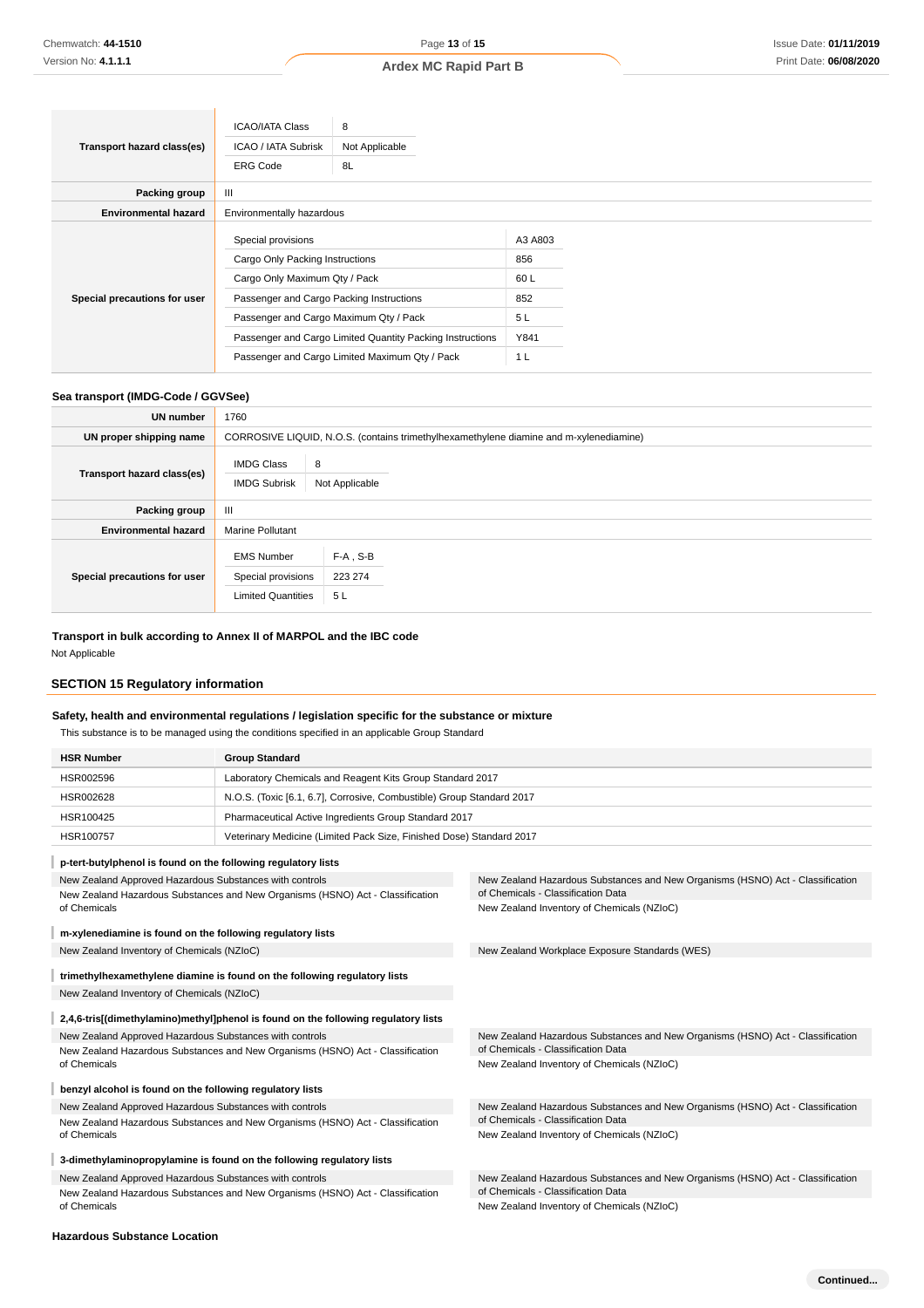|                              | <b>ICAO/IATA Class</b>                                                                                                                                                                                                                                                                                                   | 8              |                                                               |  |  |
|------------------------------|--------------------------------------------------------------------------------------------------------------------------------------------------------------------------------------------------------------------------------------------------------------------------------------------------------------------------|----------------|---------------------------------------------------------------|--|--|
| Transport hazard class(es)   | ICAO / IATA Subrisk                                                                                                                                                                                                                                                                                                      | Not Applicable |                                                               |  |  |
|                              | <b>ERG Code</b>                                                                                                                                                                                                                                                                                                          | 8L             |                                                               |  |  |
| Packing group                | III                                                                                                                                                                                                                                                                                                                      |                |                                                               |  |  |
| <b>Environmental hazard</b>  |                                                                                                                                                                                                                                                                                                                          |                |                                                               |  |  |
| Special precautions for user | Environmentally hazardous<br>Special provisions<br>Cargo Only Packing Instructions<br>Cargo Only Maximum Qty / Pack<br>Passenger and Cargo Packing Instructions<br>Passenger and Cargo Maximum Qty / Pack<br>Passenger and Cargo Limited Quantity Packing Instructions<br>Passenger and Cargo Limited Maximum Qty / Pack |                | A3 A803<br>856<br>60 L<br>852<br>5L<br>Y841<br>1 <sub>L</sub> |  |  |

### **Sea transport (IMDG-Code / GGVSee)**

ń

| <b>UN</b> number             | 1760                                                                 |                                                                                        |  |  |
|------------------------------|----------------------------------------------------------------------|----------------------------------------------------------------------------------------|--|--|
| UN proper shipping name      |                                                                      | CORROSIVE LIQUID, N.O.S. (contains trimethylhexamethylene diamine and m-xylenediamine) |  |  |
| Transport hazard class(es)   | 8<br><b>IMDG Class</b><br><b>IMDG Subrisk</b><br>Not Applicable      |                                                                                        |  |  |
| Packing group                | Ш                                                                    |                                                                                        |  |  |
| <b>Environmental hazard</b>  | <b>Marine Pollutant</b>                                              |                                                                                        |  |  |
| Special precautions for user | <b>EMS Number</b><br>Special provisions<br><b>Limited Quantities</b> | $F-A$ , S-B<br>223 274<br>5 L                                                          |  |  |

### **Transport in bulk according to Annex II of MARPOL and the IBC code**

Not Applicable

### **SECTION 15 Regulatory information**

### **Safety, health and environmental regulations / legislation specific for the substance or mixture**

This substance is to be managed using the conditions specified in an applicable Group Standard

| <b>HSR Number</b>                                                                  | <b>Group Standard</b>                                                              |                                                                                                                      |  |
|------------------------------------------------------------------------------------|------------------------------------------------------------------------------------|----------------------------------------------------------------------------------------------------------------------|--|
| Laboratory Chemicals and Reagent Kits Group Standard 2017<br>HSR002596             |                                                                                    |                                                                                                                      |  |
| N.O.S. (Toxic [6.1, 6.7], Corrosive, Combustible) Group Standard 2017<br>HSR002628 |                                                                                    |                                                                                                                      |  |
| HSR100425                                                                          | Pharmaceutical Active Ingredients Group Standard 2017                              |                                                                                                                      |  |
| HSR100757<br>Veterinary Medicine (Limited Pack Size, Finished Dose) Standard 2017  |                                                                                    |                                                                                                                      |  |
|                                                                                    | p-tert-butylphenol is found on the following regulatory lists                      |                                                                                                                      |  |
|                                                                                    | New Zealand Approved Hazardous Substances with controls                            | New Zealand Hazardous Substances and New Organisms (HSNO) Act - Classification<br>of Chemicals - Classification Data |  |
| of Chemicals                                                                       | New Zealand Hazardous Substances and New Organisms (HSNO) Act - Classification     | New Zealand Inventory of Chemicals (NZIoC)                                                                           |  |
|                                                                                    | m-xylenediamine is found on the following regulatory lists                         |                                                                                                                      |  |
| New Zealand Inventory of Chemicals (NZIoC)                                         |                                                                                    | New Zealand Workplace Exposure Standards (WES)                                                                       |  |
|                                                                                    | trimethylhexamethylene diamine is found on the following regulatory lists          |                                                                                                                      |  |
| New Zealand Inventory of Chemicals (NZIoC)                                         |                                                                                    |                                                                                                                      |  |
|                                                                                    | 2,4,6-tris[(dimethylamino)methyl]phenol is found on the following regulatory lists |                                                                                                                      |  |
|                                                                                    | New Zealand Approved Hazardous Substances with controls                            | New Zealand Hazardous Substances and New Organisms (HSNO) Act - Classification                                       |  |
| New Zealand Hazardous Substances and New Organisms (HSNO) Act - Classification     |                                                                                    | of Chemicals - Classification Data                                                                                   |  |
| of Chemicals                                                                       |                                                                                    | New Zealand Inventory of Chemicals (NZIoC)                                                                           |  |
|                                                                                    | benzyl alcohol is found on the following regulatory lists                          |                                                                                                                      |  |
| New Zealand Approved Hazardous Substances with controls                            |                                                                                    | New Zealand Hazardous Substances and New Organisms (HSNO) Act - Classification                                       |  |
| New Zealand Hazardous Substances and New Organisms (HSNO) Act - Classification     |                                                                                    | of Chemicals - Classification Data                                                                                   |  |
| of Chemicals                                                                       |                                                                                    | New Zealand Inventory of Chemicals (NZIoC)                                                                           |  |
|                                                                                    | 3-dimethylaminopropylamine is found on the following regulatory lists              |                                                                                                                      |  |
|                                                                                    | New Zealand Approved Hazardous Substances with controls                            | New Zealand Hazardous Substances and New Organisms (HSNO) Act - Classification                                       |  |
|                                                                                    | New Zealand Hazardous Substances and New Organisms (HSNO) Act - Classification     | of Chemicals - Classification Data                                                                                   |  |
| of Chemicals                                                                       |                                                                                    | New Zealand Inventory of Chemicals (NZIoC)                                                                           |  |

#### **Hazardous Substance Location**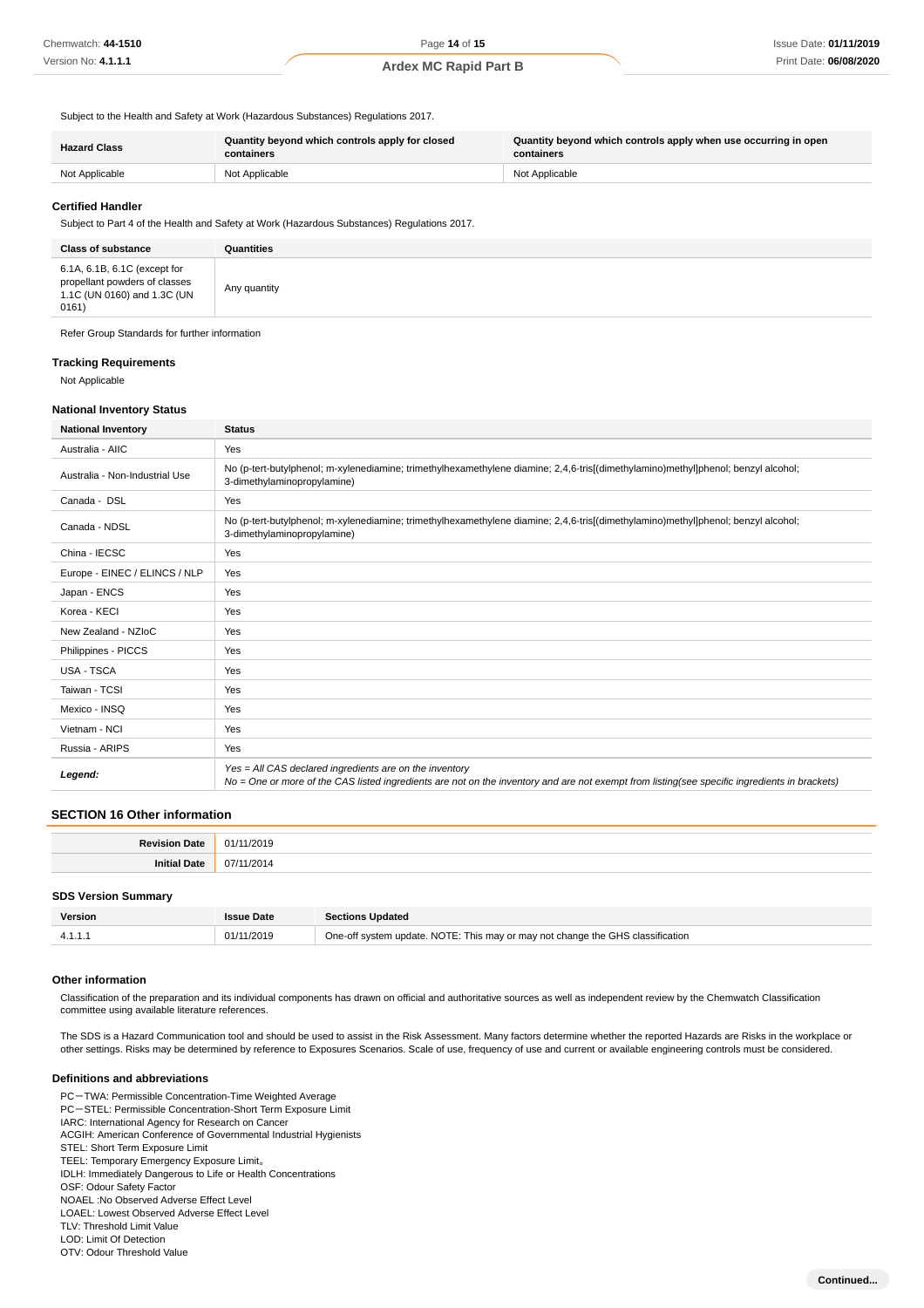Subject to the Health and Safety at Work (Hazardous Substances) Regulations 2017.

| <b>Hazard Class</b> | Quantity beyond which controls apply for closed<br>containers | Quantity beyond which controls apply when use occurring in open<br>containers |  |
|---------------------|---------------------------------------------------------------|-------------------------------------------------------------------------------|--|
| Not Applicable      | Not Applicable                                                | Not Applicable                                                                |  |

#### **Certified Handler**

Subject to Part 4 of the Health and Safety at Work (Hazardous Substances) Regulations 2017.

| <b>Class of substance</b>                                                                             | Quantities   |
|-------------------------------------------------------------------------------------------------------|--------------|
| 6.1A, 6.1B, 6.1C (except for<br>propellant powders of classes<br>1.1C (UN 0160) and 1.3C (UN<br>0161) | Any quantity |

Refer Group Standards for further information

#### **Tracking Requirements**

Not Applicable

#### **National Inventory Status**

| <b>National Inventory</b>      | <b>Status</b>                                                                                                                                                                                            |  |  |
|--------------------------------|----------------------------------------------------------------------------------------------------------------------------------------------------------------------------------------------------------|--|--|
| Australia - AIIC               | Yes                                                                                                                                                                                                      |  |  |
| Australia - Non-Industrial Use | No (p-tert-butylphenol; m-xylenediamine; trimethylhexamethylene diamine; 2,4,6-tris[(dimethylamino)methyl]phenol; benzyl alcohol;<br>3-dimethylaminopropylamine)                                         |  |  |
| Canada - DSL                   | Yes                                                                                                                                                                                                      |  |  |
| Canada - NDSL                  | No (p-tert-butylphenol; m-xylenediamine; trimethylhexamethylene diamine; 2,4,6-tris[(dimethylamino)methyl]phenol; benzyl alcohol;<br>3-dimethylaminopropylamine)                                         |  |  |
| China - IECSC                  | Yes                                                                                                                                                                                                      |  |  |
| Europe - EINEC / ELINCS / NLP  | Yes                                                                                                                                                                                                      |  |  |
| Japan - ENCS                   | Yes                                                                                                                                                                                                      |  |  |
| Korea - KECI                   | Yes                                                                                                                                                                                                      |  |  |
| New Zealand - NZIoC            | Yes                                                                                                                                                                                                      |  |  |
| Philippines - PICCS            | Yes                                                                                                                                                                                                      |  |  |
| <b>USA - TSCA</b>              | Yes                                                                                                                                                                                                      |  |  |
| Taiwan - TCSI                  | Yes                                                                                                                                                                                                      |  |  |
| Mexico - INSQ                  | Yes                                                                                                                                                                                                      |  |  |
| Vietnam - NCI                  | Yes                                                                                                                                                                                                      |  |  |
| Russia - ARIPS                 | Yes                                                                                                                                                                                                      |  |  |
| Legend:                        | Yes = All CAS declared ingredients are on the inventory<br>No = One or more of the CAS listed ingredients are not on the inventory and are not exempt from listing(see specific ingredients in brackets) |  |  |

#### **SECTION 16 Other information**

| $\sim$ |
|--------|
|        |

#### **SDS Version Summary**

| Version | <b>Issue Date</b> | <b>Sections Updated</b>                                                        |
|---------|-------------------|--------------------------------------------------------------------------------|
|         | 01/11/2019        | One-off system update. NOTE: This may or may not change the GHS classification |

#### **Other information**

Classification of the preparation and its individual components has drawn on official and authoritative sources as well as independent review by the Chemwatch Classification committee using available literature references.

The SDS is a Hazard Communication tool and should be used to assist in the Risk Assessment. Many factors determine whether the reported Hazards are Risks in the workplace or other settings. Risks may be determined by reference to Exposures Scenarios. Scale of use, frequency of use and current or available engineering controls must be considered.

#### **Definitions and abbreviations**

PC-TWA: Permissible Concentration-Time Weighted Average PC-STEL: Permissible Concentration-Short Term Exposure Limit IARC: International Agency for Research on Cancer ACGIH: American Conference of Governmental Industrial Hygienists STEL: Short Term Exposure Limit TEEL: Temporary Emergency Exposure Limit。 IDLH: Immediately Dangerous to Life or Health Concentrations OSF: Odour Safety Factor NOAEL :No Observed Adverse Effect Level LOAEL: Lowest Observed Adverse Effect Level TLV: Threshold Limit Value LOD: Limit Of Detection

OTV: Odour Threshold Value